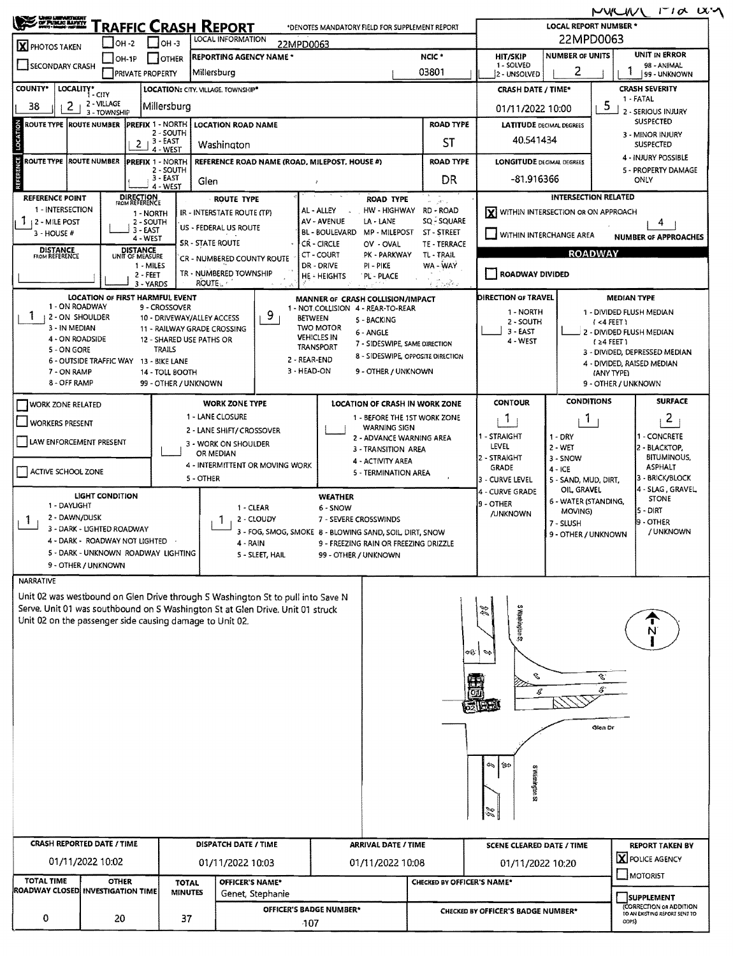| 22MPD0063<br>LOCAL INFORMATION<br>I 0н -2<br>$1$ OH -3<br>22MPD0063<br><b>X</b> PHOTOS TAKEN<br><b>NUMBER OF UNITS</b><br>NCIC *<br><b>HIT/SKIP</b><br><b>REPORTING AGENCY NAME *</b><br><b>JOTHER</b><br>$IOH-IP$<br>1 - SOLVED<br>98 - ANIMAL<br>SECONDARY CRASH<br>2<br>03801<br>Millersburg<br><b>PRIVATE PROPERTY</b><br>2 - UNSOLVED<br>LOCALITY* CITY<br><b>CRASH SEVERITY</b><br>LOCATION: CITY. VILLAGE. TOWNSHIP*<br><b>CRASH DATE / TIME*</b><br>1 - FATAL<br>2 - VILLAGE<br>5<br>Millersburg<br>2<br>01/11/2022 10:00<br>2 - SERIOUS INJURY<br>3 - TOWNSHIP<br><b>SUSPECTED</b><br><b>ROAD TYPE</b><br><b>ROUTE TYPE ROUTE NUMBER</b><br><b>PREFIX 1 - NORTH</b><br><b>LOCATION ROAD NAME</b><br><b>LATITUDE</b> DECIMAL DEGREES<br>2 - SOUTH<br>3 - MINOR INJURY<br>40.541434<br>$2 + 3 - EAST$<br><b>ST</b><br>Washington<br><b>SUSPECTED</b><br>4 - WEST<br>4 - INJURY POSSIBLE<br><b>ROUTE NUMBER</b><br><b>PREFIX 1 - NORTH</b><br>REFERENCE ROAD NAME (ROAD, MILEPOST, HOUSE #)<br><b>ROAD TYPE</b><br><b>LONGITUDE DECIMAL DEGREES</b><br>2 - SOUTH<br>5 - PROPERTY DAMAGE<br>3 - EAST<br>-81.916366<br>DR<br>ONLY<br>Glen<br>4 - WEST<br><b>DIRECTION</b><br>FROM REFERENCE<br>INTERSECTION RELATED<br>REFERENCE POINT<br><b>ROUTE TYPE</b><br><b>ROAD TYPE</b><br>Cost 1<br>1 - INTERSECTION<br>AL - ALLEY<br>HW - HIGHWAY<br>RD - ROAD<br>X WITHIN INTERSECTION OR ON APPROACH<br>IR - INTERSTATE ROUTE (TP)<br>1 - NORTH<br><b>AV - AVENUE</b><br>$1 + 2 -$ MILE POST<br>LA - LANE<br>SQ - SQUARE<br>2 - SOUTH<br>4<br>US - FEDERAL US ROUTE<br>3 - EAST<br><b>BL - BOULEVARD</b><br><b>MP - MILEPOST</b><br>ST - STREET<br>3 - HOUSE #<br>WITHIN INTERCHANGE AREA<br>4 - WEST<br><b>SR - STATE ROUTE</b><br>CR - CIRCLE<br>TE - TERRACE<br>OV - OVAL<br><b>DISTANCE</b><br>FROM REFERENCE<br><b>DISTANCE</b><br><b>ROADWAY</b><br>CT - COURT<br>TL-TRAIL<br>PK - PARKWAY<br>UNIT OF MEASURE<br>CR - NUMBERED COUNTY ROUTE<br>DR - DRIVE<br>PI - PIKE<br>WA - WAY<br>1 - MILES<br>TR - NUMBERED TOWNSHIP<br>ROADWAY DIVIDED<br>2 - FEET<br>HE - HEIGHTS<br>'PL'- PLACE<br><b>ROUTE</b><br>ر ماڻيو وا<br>3 - YARDS<br><b>LOCATION OF FIRST HARMFUL EVENT</b><br><b>DIRECTION OF TRAVEL</b><br><b>MEDIAN TYPE</b><br>MANNER OF CRASH COLLISION/IMPACT<br>1 - ON ROADWAY<br>9 - CROSSOVER<br>1 - NOT COLLISION 4 - REAR-TO-REAR<br>1 - NORTH<br>1 - DIVIDED FLUSH MEDIAN<br>9<br>1<br>2 - ON SHOULDER<br>10 - DRIVEWAY/ALLEY ACCESS<br><b>BETWEEN</b><br>5 - BACKING<br>2 - SOUTH<br>$(4$ FEET)<br>3 - IN MEDIAN<br><b>TWO MOTOR</b><br>11 - RAILWAY GRADE CROSSING<br>$3 -$ EAST<br>6 - ANGLE<br>2 - DIVIDED FLUSH MEDIAN<br><b>VEHICLES IN</b><br>4 - ON ROADSIDE<br>12 - SHARED USE PATHS OR<br>4 - WEST<br>$(24$ FEET)<br>7 - SIDESWIPE, SAME DIRECTION<br>TRANSPORT<br>TRAILS<br>5 - ON GORE<br>3 - DIVIDED, DEPRESSED MEDIAN<br>8 - SIDESWIPE, OPPOSITE DIRECTION<br>2 - REAR-END<br>6 - OUTSIDE TRAFFIC WAY 13 - BIKE LANE<br>3 - HEAD-ON<br>9 - OTHER / UNKNOWN<br>7 - ON RAMP<br>14 - TOLL BOOTH<br>(ANY TYPE)<br>8 - OFF RAMP<br>99 - OTHER / UNKNOWN<br>9 - OTHER / UNKNOWN<br><b>CONDITIONS</b><br><b>CONTOUR</b><br><b>WORK ZONE TYPE</b><br>LOCATION OF CRASH IN WORK ZONE<br><b>WORK ZONE RELATED</b><br>1 - LANE CLOSURE<br>1 - BEFORE THE 1ST WORK ZONE<br>$\overline{2}$<br>J.<br>$\mathbf{1}$<br><b>WORKERS PRESENT</b><br><b>WARNING SIGN</b><br>2 - LANE SHIFT/ CROSSOVER<br>1 - STRAIGHT<br>$1 - DRY$<br>2 - ADVANCE WARNING AREA<br>LAW ENFORCEMENT PRESENT<br>3 - WORK ON SHOULDER<br>LEVEL<br>$2 - WET$<br>2 - BLACKTOP,<br>3 - TRANSITION AREA<br>OR MEDIAN<br>2 - STRAIGHT<br>3 - SNOW<br>4 - ACTIVITY AREA<br>4 - INTERMITTENT OR MOVING WORK<br><b>GRADE</b><br>$4 - ICE$<br>ACTIVE SCHOOL ZONE<br>5 - TERMINATION AREA<br>5 - OTHER<br>3 - CURVE LEVEL<br>5 - SAND, MUD, DIRT,<br>OIL GRAVEL<br>- CURVE GRADE<br>LIGHT CONDITION<br><b>WEATHER</b><br><b>STONE</b><br>6 - WATER (STANDING,<br>9 - OTHER<br>1 - DAYLIGHT<br>1 - CLEAR<br>6 - SNOW<br>5 - DIRT<br>MOVING)<br><b>/UNKNOWN</b><br>2 - DAWN/DUSK<br>2 - CLOUDY<br>7 - SEVERE CROSSWINDS<br>L.<br>9 - OTHER<br>7 - SLUSH<br>3 - DARK - LIGHTED ROADWAY<br>3 - FOG, SMOG, SMOKE 8 - BLOWING SAND, SOIL, DIRT, SNOW<br>9 - OTHER / UNKNOWN<br>4 - DARK - ROADWAY NOT LIGHTED<br>9 - FREEZING RAIN OR FREEZING DRIZZLE<br>4 - RAIN<br>5 - DARK - UNKNOWN ROADWAY LIGHTING<br>5 - SLEET, HAIL<br>99 - OTHER / UNKNOWN<br>9 - OTHER / UNKNOWN<br><b>NARRATIVE</b><br>Unit 02 was westbound on Glen Drive through S Washington St to pull into Save N<br>Serve. Unit 01 was southbound on S Washington St at Glen Drive. Unit 01 struck<br>S nopnington St<br>Unit 02 on the passenger side causing damage to Unit 02.<br>œV.<br>s<br>Ŀ.<br>s.<br>С<br>521848<br>Glen Dr<br>150<br>۵<br>S waahdan S<br>CRASH REPORTED DATE / TIME<br><b>DISPATCH DATE / TIME</b><br><b>ARRIVAL DATE / TIME</b><br><b>SCENE CLEARED DATE / TIME</b><br>X POLICE AGENCY<br>01/11/2022 10:02<br>01/11/2022 10:03<br>01/11/2022 10:08<br>01/11/2022 10:20 | <b>CHEC LUBRARTINISHT</b><br>/ <u>OF PUBLIC BAPETY</u> |  |  | <u>RAFFIC CRASH REPORT</u> |  |  | *DENOTES MANDATORY FIELD FOR SUPPLEMENT REPORT |               |  |                             |                               | MWWW<br><b>LOCAL REPORT NUMBER *</b> | $\Gamma$ $\alpha$ $\alpha$    |  |
|---------------------------------------------------------------------------------------------------------------------------------------------------------------------------------------------------------------------------------------------------------------------------------------------------------------------------------------------------------------------------------------------------------------------------------------------------------------------------------------------------------------------------------------------------------------------------------------------------------------------------------------------------------------------------------------------------------------------------------------------------------------------------------------------------------------------------------------------------------------------------------------------------------------------------------------------------------------------------------------------------------------------------------------------------------------------------------------------------------------------------------------------------------------------------------------------------------------------------------------------------------------------------------------------------------------------------------------------------------------------------------------------------------------------------------------------------------------------------------------------------------------------------------------------------------------------------------------------------------------------------------------------------------------------------------------------------------------------------------------------------------------------------------------------------------------------------------------------------------------------------------------------------------------------------------------------------------------------------------------------------------------------------------------------------------------------------------------------------------------------------------------------------------------------------------------------------------------------------------------------------------------------------------------------------------------------------------------------------------------------------------------------------------------------------------------------------------------------------------------------------------------------------------------------------------------------------------------------------------------------------------------------------------------------------------------------------------------------------------------------------------------------------------------------------------------------------------------------------------------------------------------------------------------------------------------------------------------------------------------------------------------------------------------------------------------------------------------------------------------------------------------------------------------------------------------------------------------------------------------------------------------------------------------------------------------------------------------------------------------------------------------------------------------------------------------------------------------------------------------------------------------------------------------------------------------------------------------------------------------------------------------------------------------------------------------------------------------------------------------------------------------------------------------------------------------------------------------------------------------------------------------------------------------------------------------------------------------------------------------------------------------------------------------------------------------------------------------------------------------------------------------------------------------------------------------------------------------------------------------------------------------------------------------------------------------------------------------------------------------------------------------------------------------------------------------------------------------------------------------------------------------------------------------------------------------------------------------------------------------------------------------------------------------------------------------------------------------------------------------------------------------------------------------------------------------------------------------------------------------------------------------------------------------------------------------------------------------------------------------------------------------------------------------------|--------------------------------------------------------|--|--|----------------------------|--|--|------------------------------------------------|---------------|--|-----------------------------|-------------------------------|--------------------------------------|-------------------------------|--|
|                                                                                                                                                                                                                                                                                                                                                                                                                                                                                                                                                                                                                                                                                                                                                                                                                                                                                                                                                                                                                                                                                                                                                                                                                                                                                                                                                                                                                                                                                                                                                                                                                                                                                                                                                                                                                                                                                                                                                                                                                                                                                                                                                                                                                                                                                                                                                                                                                                                                                                                                                                                                                                                                                                                                                                                                                                                                                                                                                                                                                                                                                                                                                                                                                                                                                                                                                                                                                                                                                                                                                                                                                                                                                                                                                                                                                                                                                                                                                                                                                                                                                                                                                                                                                                                                                                                                                                                                                                                                                                                                                                                                                                                                                                                                                                                                                                                                                                                                                                                                                                             |                                                        |  |  |                            |  |  |                                                |               |  |                             |                               |                                      |                               |  |
|                                                                                                                                                                                                                                                                                                                                                                                                                                                                                                                                                                                                                                                                                                                                                                                                                                                                                                                                                                                                                                                                                                                                                                                                                                                                                                                                                                                                                                                                                                                                                                                                                                                                                                                                                                                                                                                                                                                                                                                                                                                                                                                                                                                                                                                                                                                                                                                                                                                                                                                                                                                                                                                                                                                                                                                                                                                                                                                                                                                                                                                                                                                                                                                                                                                                                                                                                                                                                                                                                                                                                                                                                                                                                                                                                                                                                                                                                                                                                                                                                                                                                                                                                                                                                                                                                                                                                                                                                                                                                                                                                                                                                                                                                                                                                                                                                                                                                                                                                                                                                                             |                                                        |  |  |                            |  |  |                                                | UNIT IN ERROR |  |                             |                               |                                      |                               |  |
|                                                                                                                                                                                                                                                                                                                                                                                                                                                                                                                                                                                                                                                                                                                                                                                                                                                                                                                                                                                                                                                                                                                                                                                                                                                                                                                                                                                                                                                                                                                                                                                                                                                                                                                                                                                                                                                                                                                                                                                                                                                                                                                                                                                                                                                                                                                                                                                                                                                                                                                                                                                                                                                                                                                                                                                                                                                                                                                                                                                                                                                                                                                                                                                                                                                                                                                                                                                                                                                                                                                                                                                                                                                                                                                                                                                                                                                                                                                                                                                                                                                                                                                                                                                                                                                                                                                                                                                                                                                                                                                                                                                                                                                                                                                                                                                                                                                                                                                                                                                                                                             |                                                        |  |  |                            |  |  |                                                |               |  | 99 - UNKNOWN                |                               |                                      |                               |  |
|                                                                                                                                                                                                                                                                                                                                                                                                                                                                                                                                                                                                                                                                                                                                                                                                                                                                                                                                                                                                                                                                                                                                                                                                                                                                                                                                                                                                                                                                                                                                                                                                                                                                                                                                                                                                                                                                                                                                                                                                                                                                                                                                                                                                                                                                                                                                                                                                                                                                                                                                                                                                                                                                                                                                                                                                                                                                                                                                                                                                                                                                                                                                                                                                                                                                                                                                                                                                                                                                                                                                                                                                                                                                                                                                                                                                                                                                                                                                                                                                                                                                                                                                                                                                                                                                                                                                                                                                                                                                                                                                                                                                                                                                                                                                                                                                                                                                                                                                                                                                                                             | COUNTY*                                                |  |  |                            |  |  |                                                |               |  |                             |                               |                                      |                               |  |
|                                                                                                                                                                                                                                                                                                                                                                                                                                                                                                                                                                                                                                                                                                                                                                                                                                                                                                                                                                                                                                                                                                                                                                                                                                                                                                                                                                                                                                                                                                                                                                                                                                                                                                                                                                                                                                                                                                                                                                                                                                                                                                                                                                                                                                                                                                                                                                                                                                                                                                                                                                                                                                                                                                                                                                                                                                                                                                                                                                                                                                                                                                                                                                                                                                                                                                                                                                                                                                                                                                                                                                                                                                                                                                                                                                                                                                                                                                                                                                                                                                                                                                                                                                                                                                                                                                                                                                                                                                                                                                                                                                                                                                                                                                                                                                                                                                                                                                                                                                                                                                             | 38                                                     |  |  |                            |  |  |                                                |               |  |                             |                               |                                      |                               |  |
|                                                                                                                                                                                                                                                                                                                                                                                                                                                                                                                                                                                                                                                                                                                                                                                                                                                                                                                                                                                                                                                                                                                                                                                                                                                                                                                                                                                                                                                                                                                                                                                                                                                                                                                                                                                                                                                                                                                                                                                                                                                                                                                                                                                                                                                                                                                                                                                                                                                                                                                                                                                                                                                                                                                                                                                                                                                                                                                                                                                                                                                                                                                                                                                                                                                                                                                                                                                                                                                                                                                                                                                                                                                                                                                                                                                                                                                                                                                                                                                                                                                                                                                                                                                                                                                                                                                                                                                                                                                                                                                                                                                                                                                                                                                                                                                                                                                                                                                                                                                                                                             |                                                        |  |  |                            |  |  |                                                |               |  |                             |                               |                                      |                               |  |
|                                                                                                                                                                                                                                                                                                                                                                                                                                                                                                                                                                                                                                                                                                                                                                                                                                                                                                                                                                                                                                                                                                                                                                                                                                                                                                                                                                                                                                                                                                                                                                                                                                                                                                                                                                                                                                                                                                                                                                                                                                                                                                                                                                                                                                                                                                                                                                                                                                                                                                                                                                                                                                                                                                                                                                                                                                                                                                                                                                                                                                                                                                                                                                                                                                                                                                                                                                                                                                                                                                                                                                                                                                                                                                                                                                                                                                                                                                                                                                                                                                                                                                                                                                                                                                                                                                                                                                                                                                                                                                                                                                                                                                                                                                                                                                                                                                                                                                                                                                                                                                             |                                                        |  |  |                            |  |  |                                                |               |  |                             |                               |                                      |                               |  |
|                                                                                                                                                                                                                                                                                                                                                                                                                                                                                                                                                                                                                                                                                                                                                                                                                                                                                                                                                                                                                                                                                                                                                                                                                                                                                                                                                                                                                                                                                                                                                                                                                                                                                                                                                                                                                                                                                                                                                                                                                                                                                                                                                                                                                                                                                                                                                                                                                                                                                                                                                                                                                                                                                                                                                                                                                                                                                                                                                                                                                                                                                                                                                                                                                                                                                                                                                                                                                                                                                                                                                                                                                                                                                                                                                                                                                                                                                                                                                                                                                                                                                                                                                                                                                                                                                                                                                                                                                                                                                                                                                                                                                                                                                                                                                                                                                                                                                                                                                                                                                                             |                                                        |  |  |                            |  |  |                                                |               |  |                             |                               |                                      |                               |  |
|                                                                                                                                                                                                                                                                                                                                                                                                                                                                                                                                                                                                                                                                                                                                                                                                                                                                                                                                                                                                                                                                                                                                                                                                                                                                                                                                                                                                                                                                                                                                                                                                                                                                                                                                                                                                                                                                                                                                                                                                                                                                                                                                                                                                                                                                                                                                                                                                                                                                                                                                                                                                                                                                                                                                                                                                                                                                                                                                                                                                                                                                                                                                                                                                                                                                                                                                                                                                                                                                                                                                                                                                                                                                                                                                                                                                                                                                                                                                                                                                                                                                                                                                                                                                                                                                                                                                                                                                                                                                                                                                                                                                                                                                                                                                                                                                                                                                                                                                                                                                                                             | <b>REFERENCE</b><br><b>ROUTE TYPE</b>                  |  |  |                            |  |  |                                                |               |  |                             |                               |                                      |                               |  |
|                                                                                                                                                                                                                                                                                                                                                                                                                                                                                                                                                                                                                                                                                                                                                                                                                                                                                                                                                                                                                                                                                                                                                                                                                                                                                                                                                                                                                                                                                                                                                                                                                                                                                                                                                                                                                                                                                                                                                                                                                                                                                                                                                                                                                                                                                                                                                                                                                                                                                                                                                                                                                                                                                                                                                                                                                                                                                                                                                                                                                                                                                                                                                                                                                                                                                                                                                                                                                                                                                                                                                                                                                                                                                                                                                                                                                                                                                                                                                                                                                                                                                                                                                                                                                                                                                                                                                                                                                                                                                                                                                                                                                                                                                                                                                                                                                                                                                                                                                                                                                                             |                                                        |  |  |                            |  |  |                                                |               |  |                             |                               |                                      |                               |  |
|                                                                                                                                                                                                                                                                                                                                                                                                                                                                                                                                                                                                                                                                                                                                                                                                                                                                                                                                                                                                                                                                                                                                                                                                                                                                                                                                                                                                                                                                                                                                                                                                                                                                                                                                                                                                                                                                                                                                                                                                                                                                                                                                                                                                                                                                                                                                                                                                                                                                                                                                                                                                                                                                                                                                                                                                                                                                                                                                                                                                                                                                                                                                                                                                                                                                                                                                                                                                                                                                                                                                                                                                                                                                                                                                                                                                                                                                                                                                                                                                                                                                                                                                                                                                                                                                                                                                                                                                                                                                                                                                                                                                                                                                                                                                                                                                                                                                                                                                                                                                                                             |                                                        |  |  |                            |  |  |                                                |               |  |                             |                               |                                      |                               |  |
|                                                                                                                                                                                                                                                                                                                                                                                                                                                                                                                                                                                                                                                                                                                                                                                                                                                                                                                                                                                                                                                                                                                                                                                                                                                                                                                                                                                                                                                                                                                                                                                                                                                                                                                                                                                                                                                                                                                                                                                                                                                                                                                                                                                                                                                                                                                                                                                                                                                                                                                                                                                                                                                                                                                                                                                                                                                                                                                                                                                                                                                                                                                                                                                                                                                                                                                                                                                                                                                                                                                                                                                                                                                                                                                                                                                                                                                                                                                                                                                                                                                                                                                                                                                                                                                                                                                                                                                                                                                                                                                                                                                                                                                                                                                                                                                                                                                                                                                                                                                                                                             |                                                        |  |  |                            |  |  |                                                |               |  |                             |                               |                                      |                               |  |
|                                                                                                                                                                                                                                                                                                                                                                                                                                                                                                                                                                                                                                                                                                                                                                                                                                                                                                                                                                                                                                                                                                                                                                                                                                                                                                                                                                                                                                                                                                                                                                                                                                                                                                                                                                                                                                                                                                                                                                                                                                                                                                                                                                                                                                                                                                                                                                                                                                                                                                                                                                                                                                                                                                                                                                                                                                                                                                                                                                                                                                                                                                                                                                                                                                                                                                                                                                                                                                                                                                                                                                                                                                                                                                                                                                                                                                                                                                                                                                                                                                                                                                                                                                                                                                                                                                                                                                                                                                                                                                                                                                                                                                                                                                                                                                                                                                                                                                                                                                                                                                             |                                                        |  |  |                            |  |  |                                                |               |  |                             |                               |                                      |                               |  |
|                                                                                                                                                                                                                                                                                                                                                                                                                                                                                                                                                                                                                                                                                                                                                                                                                                                                                                                                                                                                                                                                                                                                                                                                                                                                                                                                                                                                                                                                                                                                                                                                                                                                                                                                                                                                                                                                                                                                                                                                                                                                                                                                                                                                                                                                                                                                                                                                                                                                                                                                                                                                                                                                                                                                                                                                                                                                                                                                                                                                                                                                                                                                                                                                                                                                                                                                                                                                                                                                                                                                                                                                                                                                                                                                                                                                                                                                                                                                                                                                                                                                                                                                                                                                                                                                                                                                                                                                                                                                                                                                                                                                                                                                                                                                                                                                                                                                                                                                                                                                                                             |                                                        |  |  |                            |  |  |                                                |               |  | <b>NUMBER OF APPROACHES</b> |                               |                                      |                               |  |
|                                                                                                                                                                                                                                                                                                                                                                                                                                                                                                                                                                                                                                                                                                                                                                                                                                                                                                                                                                                                                                                                                                                                                                                                                                                                                                                                                                                                                                                                                                                                                                                                                                                                                                                                                                                                                                                                                                                                                                                                                                                                                                                                                                                                                                                                                                                                                                                                                                                                                                                                                                                                                                                                                                                                                                                                                                                                                                                                                                                                                                                                                                                                                                                                                                                                                                                                                                                                                                                                                                                                                                                                                                                                                                                                                                                                                                                                                                                                                                                                                                                                                                                                                                                                                                                                                                                                                                                                                                                                                                                                                                                                                                                                                                                                                                                                                                                                                                                                                                                                                                             |                                                        |  |  |                            |  |  |                                                |               |  |                             |                               |                                      |                               |  |
|                                                                                                                                                                                                                                                                                                                                                                                                                                                                                                                                                                                                                                                                                                                                                                                                                                                                                                                                                                                                                                                                                                                                                                                                                                                                                                                                                                                                                                                                                                                                                                                                                                                                                                                                                                                                                                                                                                                                                                                                                                                                                                                                                                                                                                                                                                                                                                                                                                                                                                                                                                                                                                                                                                                                                                                                                                                                                                                                                                                                                                                                                                                                                                                                                                                                                                                                                                                                                                                                                                                                                                                                                                                                                                                                                                                                                                                                                                                                                                                                                                                                                                                                                                                                                                                                                                                                                                                                                                                                                                                                                                                                                                                                                                                                                                                                                                                                                                                                                                                                                                             |                                                        |  |  |                            |  |  |                                                |               |  |                             |                               |                                      |                               |  |
|                                                                                                                                                                                                                                                                                                                                                                                                                                                                                                                                                                                                                                                                                                                                                                                                                                                                                                                                                                                                                                                                                                                                                                                                                                                                                                                                                                                                                                                                                                                                                                                                                                                                                                                                                                                                                                                                                                                                                                                                                                                                                                                                                                                                                                                                                                                                                                                                                                                                                                                                                                                                                                                                                                                                                                                                                                                                                                                                                                                                                                                                                                                                                                                                                                                                                                                                                                                                                                                                                                                                                                                                                                                                                                                                                                                                                                                                                                                                                                                                                                                                                                                                                                                                                                                                                                                                                                                                                                                                                                                                                                                                                                                                                                                                                                                                                                                                                                                                                                                                                                             |                                                        |  |  |                            |  |  |                                                |               |  |                             |                               |                                      |                               |  |
|                                                                                                                                                                                                                                                                                                                                                                                                                                                                                                                                                                                                                                                                                                                                                                                                                                                                                                                                                                                                                                                                                                                                                                                                                                                                                                                                                                                                                                                                                                                                                                                                                                                                                                                                                                                                                                                                                                                                                                                                                                                                                                                                                                                                                                                                                                                                                                                                                                                                                                                                                                                                                                                                                                                                                                                                                                                                                                                                                                                                                                                                                                                                                                                                                                                                                                                                                                                                                                                                                                                                                                                                                                                                                                                                                                                                                                                                                                                                                                                                                                                                                                                                                                                                                                                                                                                                                                                                                                                                                                                                                                                                                                                                                                                                                                                                                                                                                                                                                                                                                                             |                                                        |  |  |                            |  |  |                                                |               |  |                             |                               |                                      |                               |  |
|                                                                                                                                                                                                                                                                                                                                                                                                                                                                                                                                                                                                                                                                                                                                                                                                                                                                                                                                                                                                                                                                                                                                                                                                                                                                                                                                                                                                                                                                                                                                                                                                                                                                                                                                                                                                                                                                                                                                                                                                                                                                                                                                                                                                                                                                                                                                                                                                                                                                                                                                                                                                                                                                                                                                                                                                                                                                                                                                                                                                                                                                                                                                                                                                                                                                                                                                                                                                                                                                                                                                                                                                                                                                                                                                                                                                                                                                                                                                                                                                                                                                                                                                                                                                                                                                                                                                                                                                                                                                                                                                                                                                                                                                                                                                                                                                                                                                                                                                                                                                                                             |                                                        |  |  |                            |  |  |                                                |               |  |                             |                               |                                      |                               |  |
|                                                                                                                                                                                                                                                                                                                                                                                                                                                                                                                                                                                                                                                                                                                                                                                                                                                                                                                                                                                                                                                                                                                                                                                                                                                                                                                                                                                                                                                                                                                                                                                                                                                                                                                                                                                                                                                                                                                                                                                                                                                                                                                                                                                                                                                                                                                                                                                                                                                                                                                                                                                                                                                                                                                                                                                                                                                                                                                                                                                                                                                                                                                                                                                                                                                                                                                                                                                                                                                                                                                                                                                                                                                                                                                                                                                                                                                                                                                                                                                                                                                                                                                                                                                                                                                                                                                                                                                                                                                                                                                                                                                                                                                                                                                                                                                                                                                                                                                                                                                                                                             |                                                        |  |  |                            |  |  |                                                |               |  |                             |                               |                                      |                               |  |
|                                                                                                                                                                                                                                                                                                                                                                                                                                                                                                                                                                                                                                                                                                                                                                                                                                                                                                                                                                                                                                                                                                                                                                                                                                                                                                                                                                                                                                                                                                                                                                                                                                                                                                                                                                                                                                                                                                                                                                                                                                                                                                                                                                                                                                                                                                                                                                                                                                                                                                                                                                                                                                                                                                                                                                                                                                                                                                                                                                                                                                                                                                                                                                                                                                                                                                                                                                                                                                                                                                                                                                                                                                                                                                                                                                                                                                                                                                                                                                                                                                                                                                                                                                                                                                                                                                                                                                                                                                                                                                                                                                                                                                                                                                                                                                                                                                                                                                                                                                                                                                             |                                                        |  |  |                            |  |  |                                                |               |  |                             |                               |                                      |                               |  |
|                                                                                                                                                                                                                                                                                                                                                                                                                                                                                                                                                                                                                                                                                                                                                                                                                                                                                                                                                                                                                                                                                                                                                                                                                                                                                                                                                                                                                                                                                                                                                                                                                                                                                                                                                                                                                                                                                                                                                                                                                                                                                                                                                                                                                                                                                                                                                                                                                                                                                                                                                                                                                                                                                                                                                                                                                                                                                                                                                                                                                                                                                                                                                                                                                                                                                                                                                                                                                                                                                                                                                                                                                                                                                                                                                                                                                                                                                                                                                                                                                                                                                                                                                                                                                                                                                                                                                                                                                                                                                                                                                                                                                                                                                                                                                                                                                                                                                                                                                                                                                                             |                                                        |  |  |                            |  |  |                                                |               |  |                             |                               |                                      |                               |  |
|                                                                                                                                                                                                                                                                                                                                                                                                                                                                                                                                                                                                                                                                                                                                                                                                                                                                                                                                                                                                                                                                                                                                                                                                                                                                                                                                                                                                                                                                                                                                                                                                                                                                                                                                                                                                                                                                                                                                                                                                                                                                                                                                                                                                                                                                                                                                                                                                                                                                                                                                                                                                                                                                                                                                                                                                                                                                                                                                                                                                                                                                                                                                                                                                                                                                                                                                                                                                                                                                                                                                                                                                                                                                                                                                                                                                                                                                                                                                                                                                                                                                                                                                                                                                                                                                                                                                                                                                                                                                                                                                                                                                                                                                                                                                                                                                                                                                                                                                                                                                                                             |                                                        |  |  |                            |  |  |                                                |               |  | 4 - DIVIDED, RAISED MEDIAN  |                               |                                      |                               |  |
|                                                                                                                                                                                                                                                                                                                                                                                                                                                                                                                                                                                                                                                                                                                                                                                                                                                                                                                                                                                                                                                                                                                                                                                                                                                                                                                                                                                                                                                                                                                                                                                                                                                                                                                                                                                                                                                                                                                                                                                                                                                                                                                                                                                                                                                                                                                                                                                                                                                                                                                                                                                                                                                                                                                                                                                                                                                                                                                                                                                                                                                                                                                                                                                                                                                                                                                                                                                                                                                                                                                                                                                                                                                                                                                                                                                                                                                                                                                                                                                                                                                                                                                                                                                                                                                                                                                                                                                                                                                                                                                                                                                                                                                                                                                                                                                                                                                                                                                                                                                                                                             |                                                        |  |  |                            |  |  |                                                |               |  |                             |                               |                                      |                               |  |
|                                                                                                                                                                                                                                                                                                                                                                                                                                                                                                                                                                                                                                                                                                                                                                                                                                                                                                                                                                                                                                                                                                                                                                                                                                                                                                                                                                                                                                                                                                                                                                                                                                                                                                                                                                                                                                                                                                                                                                                                                                                                                                                                                                                                                                                                                                                                                                                                                                                                                                                                                                                                                                                                                                                                                                                                                                                                                                                                                                                                                                                                                                                                                                                                                                                                                                                                                                                                                                                                                                                                                                                                                                                                                                                                                                                                                                                                                                                                                                                                                                                                                                                                                                                                                                                                                                                                                                                                                                                                                                                                                                                                                                                                                                                                                                                                                                                                                                                                                                                                                                             |                                                        |  |  |                            |  |  |                                                |               |  |                             |                               |                                      | <b>SURFACE</b>                |  |
|                                                                                                                                                                                                                                                                                                                                                                                                                                                                                                                                                                                                                                                                                                                                                                                                                                                                                                                                                                                                                                                                                                                                                                                                                                                                                                                                                                                                                                                                                                                                                                                                                                                                                                                                                                                                                                                                                                                                                                                                                                                                                                                                                                                                                                                                                                                                                                                                                                                                                                                                                                                                                                                                                                                                                                                                                                                                                                                                                                                                                                                                                                                                                                                                                                                                                                                                                                                                                                                                                                                                                                                                                                                                                                                                                                                                                                                                                                                                                                                                                                                                                                                                                                                                                                                                                                                                                                                                                                                                                                                                                                                                                                                                                                                                                                                                                                                                                                                                                                                                                                             |                                                        |  |  |                            |  |  |                                                |               |  |                             |                               |                                      |                               |  |
|                                                                                                                                                                                                                                                                                                                                                                                                                                                                                                                                                                                                                                                                                                                                                                                                                                                                                                                                                                                                                                                                                                                                                                                                                                                                                                                                                                                                                                                                                                                                                                                                                                                                                                                                                                                                                                                                                                                                                                                                                                                                                                                                                                                                                                                                                                                                                                                                                                                                                                                                                                                                                                                                                                                                                                                                                                                                                                                                                                                                                                                                                                                                                                                                                                                                                                                                                                                                                                                                                                                                                                                                                                                                                                                                                                                                                                                                                                                                                                                                                                                                                                                                                                                                                                                                                                                                                                                                                                                                                                                                                                                                                                                                                                                                                                                                                                                                                                                                                                                                                                             |                                                        |  |  |                            |  |  |                                                |               |  |                             |                               |                                      |                               |  |
|                                                                                                                                                                                                                                                                                                                                                                                                                                                                                                                                                                                                                                                                                                                                                                                                                                                                                                                                                                                                                                                                                                                                                                                                                                                                                                                                                                                                                                                                                                                                                                                                                                                                                                                                                                                                                                                                                                                                                                                                                                                                                                                                                                                                                                                                                                                                                                                                                                                                                                                                                                                                                                                                                                                                                                                                                                                                                                                                                                                                                                                                                                                                                                                                                                                                                                                                                                                                                                                                                                                                                                                                                                                                                                                                                                                                                                                                                                                                                                                                                                                                                                                                                                                                                                                                                                                                                                                                                                                                                                                                                                                                                                                                                                                                                                                                                                                                                                                                                                                                                                             |                                                        |  |  |                            |  |  |                                                |               |  |                             |                               |                                      | <b><i>I - CONCRETE</i></b>    |  |
|                                                                                                                                                                                                                                                                                                                                                                                                                                                                                                                                                                                                                                                                                                                                                                                                                                                                                                                                                                                                                                                                                                                                                                                                                                                                                                                                                                                                                                                                                                                                                                                                                                                                                                                                                                                                                                                                                                                                                                                                                                                                                                                                                                                                                                                                                                                                                                                                                                                                                                                                                                                                                                                                                                                                                                                                                                                                                                                                                                                                                                                                                                                                                                                                                                                                                                                                                                                                                                                                                                                                                                                                                                                                                                                                                                                                                                                                                                                                                                                                                                                                                                                                                                                                                                                                                                                                                                                                                                                                                                                                                                                                                                                                                                                                                                                                                                                                                                                                                                                                                                             |                                                        |  |  |                            |  |  |                                                |               |  |                             |                               |                                      | <b>BITUMINOUS,</b>            |  |
|                                                                                                                                                                                                                                                                                                                                                                                                                                                                                                                                                                                                                                                                                                                                                                                                                                                                                                                                                                                                                                                                                                                                                                                                                                                                                                                                                                                                                                                                                                                                                                                                                                                                                                                                                                                                                                                                                                                                                                                                                                                                                                                                                                                                                                                                                                                                                                                                                                                                                                                                                                                                                                                                                                                                                                                                                                                                                                                                                                                                                                                                                                                                                                                                                                                                                                                                                                                                                                                                                                                                                                                                                                                                                                                                                                                                                                                                                                                                                                                                                                                                                                                                                                                                                                                                                                                                                                                                                                                                                                                                                                                                                                                                                                                                                                                                                                                                                                                                                                                                                                             |                                                        |  |  |                            |  |  |                                                |               |  |                             |                               | <b>ASPHALT</b><br>3 - BRICK/BLOCK    |                               |  |
|                                                                                                                                                                                                                                                                                                                                                                                                                                                                                                                                                                                                                                                                                                                                                                                                                                                                                                                                                                                                                                                                                                                                                                                                                                                                                                                                                                                                                                                                                                                                                                                                                                                                                                                                                                                                                                                                                                                                                                                                                                                                                                                                                                                                                                                                                                                                                                                                                                                                                                                                                                                                                                                                                                                                                                                                                                                                                                                                                                                                                                                                                                                                                                                                                                                                                                                                                                                                                                                                                                                                                                                                                                                                                                                                                                                                                                                                                                                                                                                                                                                                                                                                                                                                                                                                                                                                                                                                                                                                                                                                                                                                                                                                                                                                                                                                                                                                                                                                                                                                                                             |                                                        |  |  |                            |  |  |                                                |               |  |                             |                               |                                      | 4 - SLAG, GRAVEL,             |  |
|                                                                                                                                                                                                                                                                                                                                                                                                                                                                                                                                                                                                                                                                                                                                                                                                                                                                                                                                                                                                                                                                                                                                                                                                                                                                                                                                                                                                                                                                                                                                                                                                                                                                                                                                                                                                                                                                                                                                                                                                                                                                                                                                                                                                                                                                                                                                                                                                                                                                                                                                                                                                                                                                                                                                                                                                                                                                                                                                                                                                                                                                                                                                                                                                                                                                                                                                                                                                                                                                                                                                                                                                                                                                                                                                                                                                                                                                                                                                                                                                                                                                                                                                                                                                                                                                                                                                                                                                                                                                                                                                                                                                                                                                                                                                                                                                                                                                                                                                                                                                                                             |                                                        |  |  |                            |  |  |                                                |               |  |                             |                               |                                      |                               |  |
|                                                                                                                                                                                                                                                                                                                                                                                                                                                                                                                                                                                                                                                                                                                                                                                                                                                                                                                                                                                                                                                                                                                                                                                                                                                                                                                                                                                                                                                                                                                                                                                                                                                                                                                                                                                                                                                                                                                                                                                                                                                                                                                                                                                                                                                                                                                                                                                                                                                                                                                                                                                                                                                                                                                                                                                                                                                                                                                                                                                                                                                                                                                                                                                                                                                                                                                                                                                                                                                                                                                                                                                                                                                                                                                                                                                                                                                                                                                                                                                                                                                                                                                                                                                                                                                                                                                                                                                                                                                                                                                                                                                                                                                                                                                                                                                                                                                                                                                                                                                                                                             |                                                        |  |  |                            |  |  |                                                |               |  |                             |                               |                                      |                               |  |
|                                                                                                                                                                                                                                                                                                                                                                                                                                                                                                                                                                                                                                                                                                                                                                                                                                                                                                                                                                                                                                                                                                                                                                                                                                                                                                                                                                                                                                                                                                                                                                                                                                                                                                                                                                                                                                                                                                                                                                                                                                                                                                                                                                                                                                                                                                                                                                                                                                                                                                                                                                                                                                                                                                                                                                                                                                                                                                                                                                                                                                                                                                                                                                                                                                                                                                                                                                                                                                                                                                                                                                                                                                                                                                                                                                                                                                                                                                                                                                                                                                                                                                                                                                                                                                                                                                                                                                                                                                                                                                                                                                                                                                                                                                                                                                                                                                                                                                                                                                                                                                             | Ŧ                                                      |  |  |                            |  |  |                                                |               |  | / UNKNOWN                   |                               |                                      |                               |  |
|                                                                                                                                                                                                                                                                                                                                                                                                                                                                                                                                                                                                                                                                                                                                                                                                                                                                                                                                                                                                                                                                                                                                                                                                                                                                                                                                                                                                                                                                                                                                                                                                                                                                                                                                                                                                                                                                                                                                                                                                                                                                                                                                                                                                                                                                                                                                                                                                                                                                                                                                                                                                                                                                                                                                                                                                                                                                                                                                                                                                                                                                                                                                                                                                                                                                                                                                                                                                                                                                                                                                                                                                                                                                                                                                                                                                                                                                                                                                                                                                                                                                                                                                                                                                                                                                                                                                                                                                                                                                                                                                                                                                                                                                                                                                                                                                                                                                                                                                                                                                                                             |                                                        |  |  |                            |  |  |                                                |               |  |                             |                               |                                      |                               |  |
|                                                                                                                                                                                                                                                                                                                                                                                                                                                                                                                                                                                                                                                                                                                                                                                                                                                                                                                                                                                                                                                                                                                                                                                                                                                                                                                                                                                                                                                                                                                                                                                                                                                                                                                                                                                                                                                                                                                                                                                                                                                                                                                                                                                                                                                                                                                                                                                                                                                                                                                                                                                                                                                                                                                                                                                                                                                                                                                                                                                                                                                                                                                                                                                                                                                                                                                                                                                                                                                                                                                                                                                                                                                                                                                                                                                                                                                                                                                                                                                                                                                                                                                                                                                                                                                                                                                                                                                                                                                                                                                                                                                                                                                                                                                                                                                                                                                                                                                                                                                                                                             |                                                        |  |  |                            |  |  |                                                |               |  |                             |                               |                                      |                               |  |
|                                                                                                                                                                                                                                                                                                                                                                                                                                                                                                                                                                                                                                                                                                                                                                                                                                                                                                                                                                                                                                                                                                                                                                                                                                                                                                                                                                                                                                                                                                                                                                                                                                                                                                                                                                                                                                                                                                                                                                                                                                                                                                                                                                                                                                                                                                                                                                                                                                                                                                                                                                                                                                                                                                                                                                                                                                                                                                                                                                                                                                                                                                                                                                                                                                                                                                                                                                                                                                                                                                                                                                                                                                                                                                                                                                                                                                                                                                                                                                                                                                                                                                                                                                                                                                                                                                                                                                                                                                                                                                                                                                                                                                                                                                                                                                                                                                                                                                                                                                                                                                             |                                                        |  |  |                            |  |  |                                                |               |  |                             |                               |                                      |                               |  |
|                                                                                                                                                                                                                                                                                                                                                                                                                                                                                                                                                                                                                                                                                                                                                                                                                                                                                                                                                                                                                                                                                                                                                                                                                                                                                                                                                                                                                                                                                                                                                                                                                                                                                                                                                                                                                                                                                                                                                                                                                                                                                                                                                                                                                                                                                                                                                                                                                                                                                                                                                                                                                                                                                                                                                                                                                                                                                                                                                                                                                                                                                                                                                                                                                                                                                                                                                                                                                                                                                                                                                                                                                                                                                                                                                                                                                                                                                                                                                                                                                                                                                                                                                                                                                                                                                                                                                                                                                                                                                                                                                                                                                                                                                                                                                                                                                                                                                                                                                                                                                                             |                                                        |  |  |                            |  |  |                                                |               |  |                             |                               |                                      |                               |  |
|                                                                                                                                                                                                                                                                                                                                                                                                                                                                                                                                                                                                                                                                                                                                                                                                                                                                                                                                                                                                                                                                                                                                                                                                                                                                                                                                                                                                                                                                                                                                                                                                                                                                                                                                                                                                                                                                                                                                                                                                                                                                                                                                                                                                                                                                                                                                                                                                                                                                                                                                                                                                                                                                                                                                                                                                                                                                                                                                                                                                                                                                                                                                                                                                                                                                                                                                                                                                                                                                                                                                                                                                                                                                                                                                                                                                                                                                                                                                                                                                                                                                                                                                                                                                                                                                                                                                                                                                                                                                                                                                                                                                                                                                                                                                                                                                                                                                                                                                                                                                                                             |                                                        |  |  |                            |  |  |                                                |               |  |                             |                               |                                      |                               |  |
|                                                                                                                                                                                                                                                                                                                                                                                                                                                                                                                                                                                                                                                                                                                                                                                                                                                                                                                                                                                                                                                                                                                                                                                                                                                                                                                                                                                                                                                                                                                                                                                                                                                                                                                                                                                                                                                                                                                                                                                                                                                                                                                                                                                                                                                                                                                                                                                                                                                                                                                                                                                                                                                                                                                                                                                                                                                                                                                                                                                                                                                                                                                                                                                                                                                                                                                                                                                                                                                                                                                                                                                                                                                                                                                                                                                                                                                                                                                                                                                                                                                                                                                                                                                                                                                                                                                                                                                                                                                                                                                                                                                                                                                                                                                                                                                                                                                                                                                                                                                                                                             |                                                        |  |  |                            |  |  |                                                |               |  |                             |                               |                                      |                               |  |
|                                                                                                                                                                                                                                                                                                                                                                                                                                                                                                                                                                                                                                                                                                                                                                                                                                                                                                                                                                                                                                                                                                                                                                                                                                                                                                                                                                                                                                                                                                                                                                                                                                                                                                                                                                                                                                                                                                                                                                                                                                                                                                                                                                                                                                                                                                                                                                                                                                                                                                                                                                                                                                                                                                                                                                                                                                                                                                                                                                                                                                                                                                                                                                                                                                                                                                                                                                                                                                                                                                                                                                                                                                                                                                                                                                                                                                                                                                                                                                                                                                                                                                                                                                                                                                                                                                                                                                                                                                                                                                                                                                                                                                                                                                                                                                                                                                                                                                                                                                                                                                             |                                                        |  |  |                            |  |  |                                                |               |  |                             |                               |                                      |                               |  |
|                                                                                                                                                                                                                                                                                                                                                                                                                                                                                                                                                                                                                                                                                                                                                                                                                                                                                                                                                                                                                                                                                                                                                                                                                                                                                                                                                                                                                                                                                                                                                                                                                                                                                                                                                                                                                                                                                                                                                                                                                                                                                                                                                                                                                                                                                                                                                                                                                                                                                                                                                                                                                                                                                                                                                                                                                                                                                                                                                                                                                                                                                                                                                                                                                                                                                                                                                                                                                                                                                                                                                                                                                                                                                                                                                                                                                                                                                                                                                                                                                                                                                                                                                                                                                                                                                                                                                                                                                                                                                                                                                                                                                                                                                                                                                                                                                                                                                                                                                                                                                                             |                                                        |  |  |                            |  |  |                                                |               |  |                             |                               |                                      |                               |  |
|                                                                                                                                                                                                                                                                                                                                                                                                                                                                                                                                                                                                                                                                                                                                                                                                                                                                                                                                                                                                                                                                                                                                                                                                                                                                                                                                                                                                                                                                                                                                                                                                                                                                                                                                                                                                                                                                                                                                                                                                                                                                                                                                                                                                                                                                                                                                                                                                                                                                                                                                                                                                                                                                                                                                                                                                                                                                                                                                                                                                                                                                                                                                                                                                                                                                                                                                                                                                                                                                                                                                                                                                                                                                                                                                                                                                                                                                                                                                                                                                                                                                                                                                                                                                                                                                                                                                                                                                                                                                                                                                                                                                                                                                                                                                                                                                                                                                                                                                                                                                                                             |                                                        |  |  |                            |  |  |                                                |               |  |                             |                               |                                      |                               |  |
|                                                                                                                                                                                                                                                                                                                                                                                                                                                                                                                                                                                                                                                                                                                                                                                                                                                                                                                                                                                                                                                                                                                                                                                                                                                                                                                                                                                                                                                                                                                                                                                                                                                                                                                                                                                                                                                                                                                                                                                                                                                                                                                                                                                                                                                                                                                                                                                                                                                                                                                                                                                                                                                                                                                                                                                                                                                                                                                                                                                                                                                                                                                                                                                                                                                                                                                                                                                                                                                                                                                                                                                                                                                                                                                                                                                                                                                                                                                                                                                                                                                                                                                                                                                                                                                                                                                                                                                                                                                                                                                                                                                                                                                                                                                                                                                                                                                                                                                                                                                                                                             |                                                        |  |  |                            |  |  |                                                |               |  |                             |                               |                                      |                               |  |
|                                                                                                                                                                                                                                                                                                                                                                                                                                                                                                                                                                                                                                                                                                                                                                                                                                                                                                                                                                                                                                                                                                                                                                                                                                                                                                                                                                                                                                                                                                                                                                                                                                                                                                                                                                                                                                                                                                                                                                                                                                                                                                                                                                                                                                                                                                                                                                                                                                                                                                                                                                                                                                                                                                                                                                                                                                                                                                                                                                                                                                                                                                                                                                                                                                                                                                                                                                                                                                                                                                                                                                                                                                                                                                                                                                                                                                                                                                                                                                                                                                                                                                                                                                                                                                                                                                                                                                                                                                                                                                                                                                                                                                                                                                                                                                                                                                                                                                                                                                                                                                             |                                                        |  |  |                            |  |  |                                                |               |  |                             |                               |                                      |                               |  |
|                                                                                                                                                                                                                                                                                                                                                                                                                                                                                                                                                                                                                                                                                                                                                                                                                                                                                                                                                                                                                                                                                                                                                                                                                                                                                                                                                                                                                                                                                                                                                                                                                                                                                                                                                                                                                                                                                                                                                                                                                                                                                                                                                                                                                                                                                                                                                                                                                                                                                                                                                                                                                                                                                                                                                                                                                                                                                                                                                                                                                                                                                                                                                                                                                                                                                                                                                                                                                                                                                                                                                                                                                                                                                                                                                                                                                                                                                                                                                                                                                                                                                                                                                                                                                                                                                                                                                                                                                                                                                                                                                                                                                                                                                                                                                                                                                                                                                                                                                                                                                                             |                                                        |  |  |                            |  |  |                                                |               |  |                             |                               |                                      |                               |  |
|                                                                                                                                                                                                                                                                                                                                                                                                                                                                                                                                                                                                                                                                                                                                                                                                                                                                                                                                                                                                                                                                                                                                                                                                                                                                                                                                                                                                                                                                                                                                                                                                                                                                                                                                                                                                                                                                                                                                                                                                                                                                                                                                                                                                                                                                                                                                                                                                                                                                                                                                                                                                                                                                                                                                                                                                                                                                                                                                                                                                                                                                                                                                                                                                                                                                                                                                                                                                                                                                                                                                                                                                                                                                                                                                                                                                                                                                                                                                                                                                                                                                                                                                                                                                                                                                                                                                                                                                                                                                                                                                                                                                                                                                                                                                                                                                                                                                                                                                                                                                                                             |                                                        |  |  |                            |  |  |                                                |               |  |                             |                               |                                      |                               |  |
|                                                                                                                                                                                                                                                                                                                                                                                                                                                                                                                                                                                                                                                                                                                                                                                                                                                                                                                                                                                                                                                                                                                                                                                                                                                                                                                                                                                                                                                                                                                                                                                                                                                                                                                                                                                                                                                                                                                                                                                                                                                                                                                                                                                                                                                                                                                                                                                                                                                                                                                                                                                                                                                                                                                                                                                                                                                                                                                                                                                                                                                                                                                                                                                                                                                                                                                                                                                                                                                                                                                                                                                                                                                                                                                                                                                                                                                                                                                                                                                                                                                                                                                                                                                                                                                                                                                                                                                                                                                                                                                                                                                                                                                                                                                                                                                                                                                                                                                                                                                                                                             |                                                        |  |  |                            |  |  |                                                |               |  |                             |                               |                                      |                               |  |
|                                                                                                                                                                                                                                                                                                                                                                                                                                                                                                                                                                                                                                                                                                                                                                                                                                                                                                                                                                                                                                                                                                                                                                                                                                                                                                                                                                                                                                                                                                                                                                                                                                                                                                                                                                                                                                                                                                                                                                                                                                                                                                                                                                                                                                                                                                                                                                                                                                                                                                                                                                                                                                                                                                                                                                                                                                                                                                                                                                                                                                                                                                                                                                                                                                                                                                                                                                                                                                                                                                                                                                                                                                                                                                                                                                                                                                                                                                                                                                                                                                                                                                                                                                                                                                                                                                                                                                                                                                                                                                                                                                                                                                                                                                                                                                                                                                                                                                                                                                                                                                             |                                                        |  |  |                            |  |  |                                                |               |  |                             |                               |                                      |                               |  |
|                                                                                                                                                                                                                                                                                                                                                                                                                                                                                                                                                                                                                                                                                                                                                                                                                                                                                                                                                                                                                                                                                                                                                                                                                                                                                                                                                                                                                                                                                                                                                                                                                                                                                                                                                                                                                                                                                                                                                                                                                                                                                                                                                                                                                                                                                                                                                                                                                                                                                                                                                                                                                                                                                                                                                                                                                                                                                                                                                                                                                                                                                                                                                                                                                                                                                                                                                                                                                                                                                                                                                                                                                                                                                                                                                                                                                                                                                                                                                                                                                                                                                                                                                                                                                                                                                                                                                                                                                                                                                                                                                                                                                                                                                                                                                                                                                                                                                                                                                                                                                                             |                                                        |  |  |                            |  |  |                                                |               |  |                             |                               |                                      |                               |  |
|                                                                                                                                                                                                                                                                                                                                                                                                                                                                                                                                                                                                                                                                                                                                                                                                                                                                                                                                                                                                                                                                                                                                                                                                                                                                                                                                                                                                                                                                                                                                                                                                                                                                                                                                                                                                                                                                                                                                                                                                                                                                                                                                                                                                                                                                                                                                                                                                                                                                                                                                                                                                                                                                                                                                                                                                                                                                                                                                                                                                                                                                                                                                                                                                                                                                                                                                                                                                                                                                                                                                                                                                                                                                                                                                                                                                                                                                                                                                                                                                                                                                                                                                                                                                                                                                                                                                                                                                                                                                                                                                                                                                                                                                                                                                                                                                                                                                                                                                                                                                                                             |                                                        |  |  |                            |  |  |                                                |               |  |                             |                               |                                      |                               |  |
|                                                                                                                                                                                                                                                                                                                                                                                                                                                                                                                                                                                                                                                                                                                                                                                                                                                                                                                                                                                                                                                                                                                                                                                                                                                                                                                                                                                                                                                                                                                                                                                                                                                                                                                                                                                                                                                                                                                                                                                                                                                                                                                                                                                                                                                                                                                                                                                                                                                                                                                                                                                                                                                                                                                                                                                                                                                                                                                                                                                                                                                                                                                                                                                                                                                                                                                                                                                                                                                                                                                                                                                                                                                                                                                                                                                                                                                                                                                                                                                                                                                                                                                                                                                                                                                                                                                                                                                                                                                                                                                                                                                                                                                                                                                                                                                                                                                                                                                                                                                                                                             |                                                        |  |  |                            |  |  |                                                |               |  |                             |                               |                                      |                               |  |
|                                                                                                                                                                                                                                                                                                                                                                                                                                                                                                                                                                                                                                                                                                                                                                                                                                                                                                                                                                                                                                                                                                                                                                                                                                                                                                                                                                                                                                                                                                                                                                                                                                                                                                                                                                                                                                                                                                                                                                                                                                                                                                                                                                                                                                                                                                                                                                                                                                                                                                                                                                                                                                                                                                                                                                                                                                                                                                                                                                                                                                                                                                                                                                                                                                                                                                                                                                                                                                                                                                                                                                                                                                                                                                                                                                                                                                                                                                                                                                                                                                                                                                                                                                                                                                                                                                                                                                                                                                                                                                                                                                                                                                                                                                                                                                                                                                                                                                                                                                                                                                             |                                                        |  |  |                            |  |  |                                                |               |  |                             |                               |                                      |                               |  |
|                                                                                                                                                                                                                                                                                                                                                                                                                                                                                                                                                                                                                                                                                                                                                                                                                                                                                                                                                                                                                                                                                                                                                                                                                                                                                                                                                                                                                                                                                                                                                                                                                                                                                                                                                                                                                                                                                                                                                                                                                                                                                                                                                                                                                                                                                                                                                                                                                                                                                                                                                                                                                                                                                                                                                                                                                                                                                                                                                                                                                                                                                                                                                                                                                                                                                                                                                                                                                                                                                                                                                                                                                                                                                                                                                                                                                                                                                                                                                                                                                                                                                                                                                                                                                                                                                                                                                                                                                                                                                                                                                                                                                                                                                                                                                                                                                                                                                                                                                                                                                                             |                                                        |  |  |                            |  |  |                                                |               |  |                             |                               |                                      |                               |  |
|                                                                                                                                                                                                                                                                                                                                                                                                                                                                                                                                                                                                                                                                                                                                                                                                                                                                                                                                                                                                                                                                                                                                                                                                                                                                                                                                                                                                                                                                                                                                                                                                                                                                                                                                                                                                                                                                                                                                                                                                                                                                                                                                                                                                                                                                                                                                                                                                                                                                                                                                                                                                                                                                                                                                                                                                                                                                                                                                                                                                                                                                                                                                                                                                                                                                                                                                                                                                                                                                                                                                                                                                                                                                                                                                                                                                                                                                                                                                                                                                                                                                                                                                                                                                                                                                                                                                                                                                                                                                                                                                                                                                                                                                                                                                                                                                                                                                                                                                                                                                                                             |                                                        |  |  |                            |  |  |                                                |               |  |                             |                               |                                      |                               |  |
|                                                                                                                                                                                                                                                                                                                                                                                                                                                                                                                                                                                                                                                                                                                                                                                                                                                                                                                                                                                                                                                                                                                                                                                                                                                                                                                                                                                                                                                                                                                                                                                                                                                                                                                                                                                                                                                                                                                                                                                                                                                                                                                                                                                                                                                                                                                                                                                                                                                                                                                                                                                                                                                                                                                                                                                                                                                                                                                                                                                                                                                                                                                                                                                                                                                                                                                                                                                                                                                                                                                                                                                                                                                                                                                                                                                                                                                                                                                                                                                                                                                                                                                                                                                                                                                                                                                                                                                                                                                                                                                                                                                                                                                                                                                                                                                                                                                                                                                                                                                                                                             |                                                        |  |  |                            |  |  |                                                |               |  |                             |                               |                                      | <b>REPORT TAKEN BY</b>        |  |
|                                                                                                                                                                                                                                                                                                                                                                                                                                                                                                                                                                                                                                                                                                                                                                                                                                                                                                                                                                                                                                                                                                                                                                                                                                                                                                                                                                                                                                                                                                                                                                                                                                                                                                                                                                                                                                                                                                                                                                                                                                                                                                                                                                                                                                                                                                                                                                                                                                                                                                                                                                                                                                                                                                                                                                                                                                                                                                                                                                                                                                                                                                                                                                                                                                                                                                                                                                                                                                                                                                                                                                                                                                                                                                                                                                                                                                                                                                                                                                                                                                                                                                                                                                                                                                                                                                                                                                                                                                                                                                                                                                                                                                                                                                                                                                                                                                                                                                                                                                                                                                             |                                                        |  |  |                            |  |  |                                                |               |  |                             |                               |                                      |                               |  |
| $\Box$ MOTORIST<br><b>OTHER</b><br>OFFICER'S NAME*<br>CHECKED BY OFFICER'S NAME*<br><b>TOTAL</b>                                                                                                                                                                                                                                                                                                                                                                                                                                                                                                                                                                                                                                                                                                                                                                                                                                                                                                                                                                                                                                                                                                                                                                                                                                                                                                                                                                                                                                                                                                                                                                                                                                                                                                                                                                                                                                                                                                                                                                                                                                                                                                                                                                                                                                                                                                                                                                                                                                                                                                                                                                                                                                                                                                                                                                                                                                                                                                                                                                                                                                                                                                                                                                                                                                                                                                                                                                                                                                                                                                                                                                                                                                                                                                                                                                                                                                                                                                                                                                                                                                                                                                                                                                                                                                                                                                                                                                                                                                                                                                                                                                                                                                                                                                                                                                                                                                                                                                                                            | TOTAL TIME                                             |  |  |                            |  |  |                                                |               |  |                             |                               |                                      |                               |  |
| ROADWAY CLOSED INVESTIGATION TIME<br><b>MINUTES</b><br>Genet, Stephanie<br><b>SUPPLEMENT</b>                                                                                                                                                                                                                                                                                                                                                                                                                                                                                                                                                                                                                                                                                                                                                                                                                                                                                                                                                                                                                                                                                                                                                                                                                                                                                                                                                                                                                                                                                                                                                                                                                                                                                                                                                                                                                                                                                                                                                                                                                                                                                                                                                                                                                                                                                                                                                                                                                                                                                                                                                                                                                                                                                                                                                                                                                                                                                                                                                                                                                                                                                                                                                                                                                                                                                                                                                                                                                                                                                                                                                                                                                                                                                                                                                                                                                                                                                                                                                                                                                                                                                                                                                                                                                                                                                                                                                                                                                                                                                                                                                                                                                                                                                                                                                                                                                                                                                                                                                |                                                        |  |  |                            |  |  |                                                |               |  |                             |                               |                                      |                               |  |
| OFFICER'S BADGE NUMBER*<br>CHECKED BY OFFICER'S BADGE NUMBER*                                                                                                                                                                                                                                                                                                                                                                                                                                                                                                                                                                                                                                                                                                                                                                                                                                                                                                                                                                                                                                                                                                                                                                                                                                                                                                                                                                                                                                                                                                                                                                                                                                                                                                                                                                                                                                                                                                                                                                                                                                                                                                                                                                                                                                                                                                                                                                                                                                                                                                                                                                                                                                                                                                                                                                                                                                                                                                                                                                                                                                                                                                                                                                                                                                                                                                                                                                                                                                                                                                                                                                                                                                                                                                                                                                                                                                                                                                                                                                                                                                                                                                                                                                                                                                                                                                                                                                                                                                                                                                                                                                                                                                                                                                                                                                                                                                                                                                                                                                               |                                                        |  |  |                            |  |  |                                                |               |  |                             |                               |                                      | <b>CORRECTION OR ADDITION</b> |  |
| 0<br>20<br>37<br>ODPS)<br>107                                                                                                                                                                                                                                                                                                                                                                                                                                                                                                                                                                                                                                                                                                                                                                                                                                                                                                                                                                                                                                                                                                                                                                                                                                                                                                                                                                                                                                                                                                                                                                                                                                                                                                                                                                                                                                                                                                                                                                                                                                                                                                                                                                                                                                                                                                                                                                                                                                                                                                                                                                                                                                                                                                                                                                                                                                                                                                                                                                                                                                                                                                                                                                                                                                                                                                                                                                                                                                                                                                                                                                                                                                                                                                                                                                                                                                                                                                                                                                                                                                                                                                                                                                                                                                                                                                                                                                                                                                                                                                                                                                                                                                                                                                                                                                                                                                                                                                                                                                                                               |                                                        |  |  |                            |  |  |                                                |               |  |                             | TO AN EXISTING REPORT SENT TO |                                      |                               |  |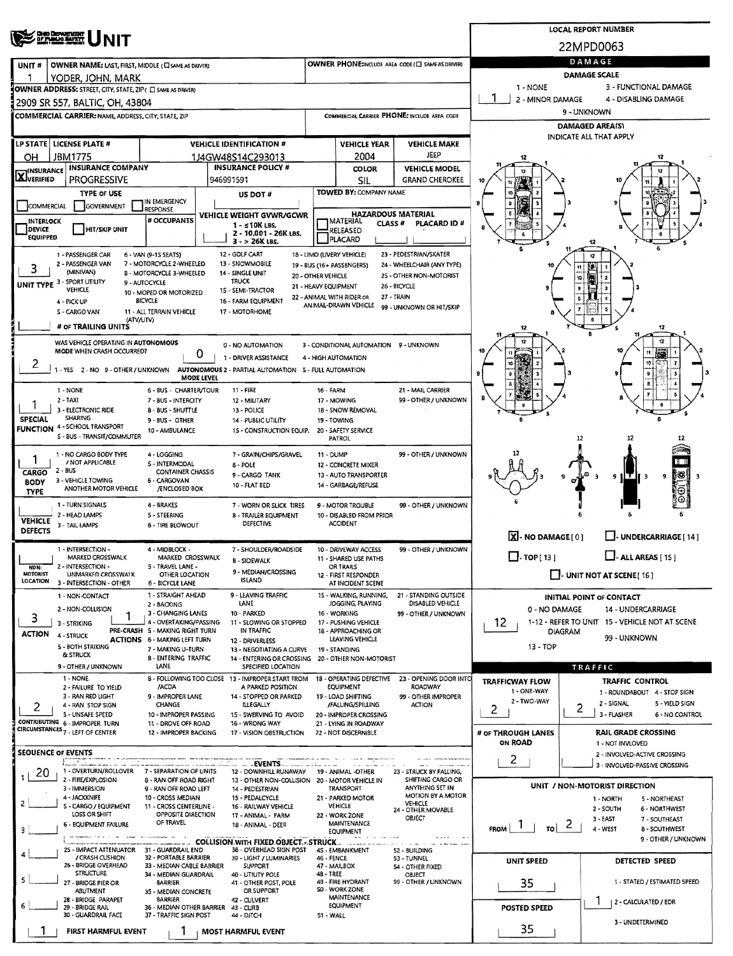| <b>OND DEPARTMENT</b>                                                                                                          |                                                                                                                       |                                                           | <b>LOCAL REPORT NUMBER</b>                        |                                                                        |                    |                                                               |                                             |                                            |                                                           |                                                        |  |  |  |
|--------------------------------------------------------------------------------------------------------------------------------|-----------------------------------------------------------------------------------------------------------------------|-----------------------------------------------------------|---------------------------------------------------|------------------------------------------------------------------------|--------------------|---------------------------------------------------------------|---------------------------------------------|--------------------------------------------|-----------------------------------------------------------|--------------------------------------------------------|--|--|--|
|                                                                                                                                |                                                                                                                       |                                                           | 22MPD0063                                         |                                                                        |                    |                                                               |                                             |                                            |                                                           |                                                        |  |  |  |
| UNIT#                                                                                                                          | OWNER NAME: LAST, FIRST, MIDDLE (C) SAME AS DRIVERY                                                                   |                                                           | OWNER PHONE:INCLUDE AREA CODE (E) SAME AS DRIVER) | DAMAGE                                                                 |                    |                                                               |                                             |                                            |                                                           |                                                        |  |  |  |
|                                                                                                                                | YODER, JOHN, MARK                                                                                                     |                                                           |                                                   |                                                                        |                    | <b>DAMAGE SCALE</b>                                           |                                             |                                            |                                                           |                                                        |  |  |  |
|                                                                                                                                | OWNER ADDRESS: STREET, CITY, STATE, ZIP ( C) SAME AS DRIVER)                                                          |                                                           |                                                   | 1 - NONE                                                               |                    | 3 - FUNCTIONAL DAMAGE                                         |                                             |                                            |                                                           |                                                        |  |  |  |
|                                                                                                                                | 2909 SR 557, BALTIC, OH, 43804                                                                                        |                                                           |                                                   |                                                                        |                    |                                                               |                                             | 2 - MINOR DAMAGE                           |                                                           | 4 - DISABLING DAMAGE                                   |  |  |  |
|                                                                                                                                | <b>COMMERCIAL CARRIER: NAME, ADDRESS, CITY, STATE, ZIP</b>                                                            |                                                           |                                                   |                                                                        |                    |                                                               | COMMERCIAL CARRIER PHONE: INCLUDE AREA CODE |                                            | 9 - UNKNOWN                                               |                                                        |  |  |  |
|                                                                                                                                |                                                                                                                       |                                                           |                                                   |                                                                        |                    |                                                               |                                             | DAMAGED AREA(S)<br>INDICATE ALL THAT APPLY |                                                           |                                                        |  |  |  |
| LP STATE   LICENSE PLATE #                                                                                                     |                                                                                                                       |                                                           |                                                   | <b>VEHICLE IDENTIFICATION #</b>                                        |                    | <b>VEHICLE YEAR</b>                                           | <b>VEHICLE MAKE</b><br>JEEP                 |                                            |                                                           |                                                        |  |  |  |
| JBM1775<br>OН<br><b>INSURANCE</b>                                                                                              | <b>INSURANCE COMPANY</b>                                                                                              |                                                           |                                                   | 1J4GW48S14C293013<br><b>INSURANCE POLICY #</b>                         |                    | 2004<br>COLOR                                                 | <b>VEHICLE MODEL</b>                        |                                            |                                                           |                                                        |  |  |  |
| X VERIFIED<br>PROGRESSIVE<br>946991591                                                                                         |                                                                                                                       |                                                           |                                                   |                                                                        |                    | <b>SIL</b>                                                    | <b>GRAND CHEROKEE</b>                       |                                            |                                                           |                                                        |  |  |  |
|                                                                                                                                | TYPE OF USE                                                                                                           |                                                           |                                                   | US DOT#                                                                |                    | <b>TOWED BY: COMPANY NAME</b>                                 |                                             |                                            |                                                           |                                                        |  |  |  |
| <b>COMMERCIAL</b>                                                                                                              | GOVERNMENT                                                                                                            | IN EMERGENCY<br>RESPONSE                                  |                                                   |                                                                        |                    |                                                               | <b>HAZARDOUS MATERIAL</b>                   |                                            |                                                           |                                                        |  |  |  |
| INTERLOCK                                                                                                                      |                                                                                                                       | # OCCUPANTS                                               |                                                   | VEHICLE WEIGHT GVWR/GCWR<br>$1 - 510K$ LBS.                            |                    | <b>TMATERIAL</b><br><b>CLASS #</b>                            | PLACARD ID#                                 |                                            |                                                           |                                                        |  |  |  |
| DEVICE<br><b>EQUIPPED</b>                                                                                                      | <b>HIT/SKIP UNIT</b>                                                                                                  |                                                           |                                                   | 2 - 10.001 - 26K LBS.<br>$3 - 26K$ LBS.                                |                    | RELEASED<br><b>PLACARD</b>                                    |                                             |                                            | -12                                                       |                                                        |  |  |  |
|                                                                                                                                | 1 - PASSENGER CAR                                                                                                     | 6 - VAN (9-1S SEATS)                                      |                                                   | 12 - GOLF CART                                                         |                    | 18 - LIMO (LIVERY VEHICLE)                                    | 23 - PEDESTRIAN/SKATER                      |                                            |                                                           |                                                        |  |  |  |
| 3                                                                                                                              | 2 - PASSENGER VAN<br>(MINIVAN)                                                                                        | 7 - MOTORCYCLE 2-WHEELED                                  |                                                   | 13 - SNOWMOBILE<br>14 - SINGLE UNIT                                    |                    | 19 - BUS (16+ PASSENGERS)                                     | 24 - WHEELCHAIR (ANY TYPE)                  |                                            | 11                                                        |                                                        |  |  |  |
| UNIT TYPE 3 - SPORT UTILITY                                                                                                    |                                                                                                                       | 8 - MOTORCYCLE 3 WHEELED<br>9 - AUTOCYCLE                 |                                                   | <b>TRUCK</b>                                                           | 20 - OTHER VEHICLE | 21 - HEAVY EQUIPMENT                                          | 2S - OTHER NON-MOTORIST<br>26 - BICYCLE     |                                            | 10                                                        |                                                        |  |  |  |
| 4 - PICK UP                                                                                                                    | <b>VEHICLE</b>                                                                                                        | 10 - MOPED OR MOTORIZED<br><b>BICYCLE</b>                 |                                                   | 15 - SEMI-TRACTOR<br>16 - FARM EQUIPMENT                               |                    | 22 - ANIMAL WITH RIDER OR                                     | 27 - TRAIN                                  |                                            |                                                           |                                                        |  |  |  |
|                                                                                                                                | S - CARGO VAN                                                                                                         | 11 - ALL TERRAIN VEHICLE                                  |                                                   | 17 - MOTORHOME                                                         |                    | ANIMAL-DRAWN VEHICLE                                          | 99 - UNKNOWN OR HIT/SKIP                    |                                            |                                                           |                                                        |  |  |  |
|                                                                                                                                | (ATV/UTV)<br># OF TRAILING UNITS                                                                                      |                                                           |                                                   |                                                                        |                    |                                                               |                                             | 12                                         |                                                           | 12<br>-5                                               |  |  |  |
|                                                                                                                                | WAS VEHICLE OPERATING IN AUTONOMOUS                                                                                   |                                                           |                                                   |                                                                        |                    |                                                               |                                             |                                            |                                                           | 12                                                     |  |  |  |
|                                                                                                                                | MODE WHEN CRASH OCCURRED?                                                                                             |                                                           | 0                                                 | 0 - NO AUTOMATION<br>1 - DRIVER ASSISTANCE                             |                    | 3 - CONDITIONAL AUTOMATION 9 - UNKNOWN<br>4 - HIGH AUTOMATION |                                             |                                            |                                                           |                                                        |  |  |  |
| 2                                                                                                                              | 1 - YES 2 - NO 9 - OTHER / UNKNOWN                                                                                    |                                                           |                                                   | AUTONOMOUS 2 - PARTIAL AUTOMATION 5 - FULL AUTOMATION                  |                    |                                                               |                                             |                                            |                                                           |                                                        |  |  |  |
|                                                                                                                                |                                                                                                                       |                                                           | MODE LEVEL                                        |                                                                        |                    |                                                               |                                             |                                            |                                                           |                                                        |  |  |  |
| 1 - NONE<br>$2 - TAXI$                                                                                                         |                                                                                                                       | 6 - BUS - CHARTER/TOUR<br>7 - BUS - INTERCITY             |                                                   | $11 - FIRE$<br>12 - MILITARY                                           | 16 - FARM          | 17 - MOWING                                                   | 21 - MAIL CARRIER<br>99 - OTHER / UNKNOWN   |                                            |                                                           |                                                        |  |  |  |
|                                                                                                                                | 3 - ELECTRONIC RIDE                                                                                                   | 8 - BUS - SHUTTLE                                         |                                                   | 13 - POLICE                                                            |                    | 18 - SNOW REMOVAL                                             |                                             |                                            |                                                           |                                                        |  |  |  |
| <b>SPECIAL</b><br><b>FUNCTION 4 - SCHOOL TRANSPORT</b>                                                                         | <b>SHARING</b>                                                                                                        | 9 - BUS - OTHER<br>10 - AMBULANCE                         |                                                   | 14 - PUBLIC UTILITY<br>15 - CONSTRUCTION EQUIP.                        |                    | 19 - TOWING<br>20 - SAFETY SERVICE                            |                                             |                                            |                                                           |                                                        |  |  |  |
|                                                                                                                                | S - BUS - TRANSIT/COMMUTER                                                                                            |                                                           |                                                   |                                                                        |                    | PATROL                                                        |                                             |                                            | 12                                                        |                                                        |  |  |  |
|                                                                                                                                | 1 - NO CARGO BODY TYPE                                                                                                | 4 - LOGGING                                               |                                                   | 7 - GRAIN/CHIPS/GRAVEL                                                 | 11 - DUMP          |                                                               | 99 - OTHER / UNKNOWN                        |                                            |                                                           |                                                        |  |  |  |
| / NOT APPLICABLE<br>5 - INTERMODAL<br>$8 - POLE$<br>$2 - BUS$<br><b>CONTAINER CHASSIS</b><br>CARGO                             |                                                                                                                       |                                                           |                                                   |                                                                        |                    | 12 - CONCRETE MIXER                                           |                                             |                                            |                                                           |                                                        |  |  |  |
| 9 - CARGO TANK<br>3 - VEHICLE TOWING<br>6 - CARGOVAN<br><b>BODY</b><br>10 - FLAT BED<br>ANOTHER MOTOR VEHICLE<br>/ENCLOSED BOX |                                                                                                                       |                                                           |                                                   |                                                                        |                    | 13 - AUTO TRANSPORTER<br>14 - GARBAGE/REFUSE                  |                                             |                                            |                                                           | 18<br>9 H.T<br>۰                                       |  |  |  |
| <b>TYPE</b>                                                                                                                    |                                                                                                                       |                                                           |                                                   |                                                                        |                    |                                                               |                                             |                                            |                                                           |                                                        |  |  |  |
|                                                                                                                                | 1 - TURN SIGNALS<br>2 - HEAD LAMPS                                                                                    | 4 - BRAKES<br>5 - STEERING                                |                                                   | 7 - WORN OR SLICK TIRES<br><b>8 - TRAILER EQUIPMENT</b>                |                    | 9 - MOTOR TROUBLE<br>10 - DISABLED FROM PRIOR                 | 99 - OTHER / UNKNOWN                        |                                            |                                                           |                                                        |  |  |  |
| <b>VEHICLE</b><br><b>DEFECTS</b>                                                                                               | 3 - TAIL LAMPS                                                                                                        | 6 - TIRE BLOWOUT                                          |                                                   | DEFECTIVE                                                              |                    | <b>ACCIDENT</b>                                               |                                             |                                            |                                                           |                                                        |  |  |  |
|                                                                                                                                |                                                                                                                       |                                                           |                                                   |                                                                        |                    |                                                               |                                             | X-NO DAMAGE[0]                             |                                                           | U- UNDERCARRIAGE [ 14 ]                                |  |  |  |
|                                                                                                                                | 1 - INTERSECTION -<br>4 - MIDBLOCK -<br>7 - SHOULDER/ROADSIDE<br>MARKED CROSSWALK<br>MARKED CROSSWALK<br>8 - SIDEWALK |                                                           |                                                   |                                                                        |                    | 10 - DRIVEWAY ACCESS<br>11 - SHARED USE PATHS                 | 99 - OTHER / UNKNOWN                        | $\Box$ - TOP[13]                           |                                                           | $L$ - ALL AREAS [ 15 ]                                 |  |  |  |
| NON-<br><b>MOTORIST</b>                                                                                                        | 2 - INTERSECTION -<br>UNMARKED CROSSWALK                                                                              | 5 - TRAVEL LANE -<br>OTHER LOCATION                       |                                                   | 9 - MEDIAN/CROSSING                                                    |                    | OR TRAILS<br>12 - FIRST RESPONDER                             |                                             | $\Box$ - UNIT NOT AT SCENE [ 16 ]          |                                                           |                                                        |  |  |  |
| LOCATION                                                                                                                       | 3 - INTERSECTION - OTHER                                                                                              | 6 - BICYCLE LANE                                          |                                                   | <b>ISLAND</b>                                                          |                    | AT INCIDENT SCENE                                             |                                             |                                            |                                                           |                                                        |  |  |  |
|                                                                                                                                | 1 - NON-CONTACT                                                                                                       | 1 - STRAIGHT AHEAD<br>2 - BACKING                         |                                                   | 9 - LEAVING TRAFFIC<br>LANE                                            |                    | 15 - WALKING, RUNNING,<br>JOGGING, PLAYING                    | 21 - STANDING OUTSIDE<br>DISABLED VEHICLE   |                                            |                                                           | <b>INITIAL POINT OF CONTACT</b>                        |  |  |  |
| 3                                                                                                                              | 2 - NON-COLLISION<br>1                                                                                                | 3 - CHANGING LANES                                        |                                                   | 10 - PARKED                                                            |                    | 16 - WORKING                                                  | 99 - OTHER / UNKNOWN                        | 0 - NO DAMAGE<br><b>14 - UNDERCARRIAGE</b> |                                                           |                                                        |  |  |  |
| <b>ACTION</b>                                                                                                                  | 3 - STRIKING                                                                                                          | 4 - OVERTAKING/PASSING<br>PRE-CRASH 5 - MAKING RIGHT TURN |                                                   | 11 - SLOWING OR STOPPED<br>IN TRAFFIC                                  |                    | 17 - PUSHING VEHICLE<br>18 - APPROACHING OR                   |                                             | 12                                         | DIAGRAM                                                   | 1-12 - REFER TO UNIT 15 - VEHICLE NOT AT SCENE         |  |  |  |
| 4 - STRUCK                                                                                                                     | 5 - BOTH STRIKING                                                                                                     | <b>ACTIONS 6 - MAKING LEFT TURN</b><br>7 - MAKING U-TURN  |                                                   | 12 - DRIVERLESS<br>13 - NEGOTIATING A CURVE                            |                    | LEAVING VEHICLE<br>19 - STANDING                              |                                             | 99 - UNKNOWN<br>13 - TOP                   |                                                           |                                                        |  |  |  |
|                                                                                                                                | & STRUCK                                                                                                              | 8 - ENTERING TRAFFIC                                      |                                                   | 14 - ENTERING OR CROSSING                                              |                    | 20 - OTHER NON-MOTORIST                                       |                                             |                                            |                                                           |                                                        |  |  |  |
|                                                                                                                                | 9 - OTHER / UNKNOWN                                                                                                   | LANE                                                      |                                                   | SPECIFIED LOCATION                                                     |                    |                                                               |                                             |                                            | TRAFFIC                                                   |                                                        |  |  |  |
|                                                                                                                                | 1 - NONE<br>2 - FAILURE TO YIELD                                                                                      | /ACDA                                                     |                                                   | 8 - FOLLOWING TOO CLOSE 13 - IMPROPER START FROM<br>A PARKED POSITION  |                    | 18 - OPERATING DEFECTIVE<br><b>EQUIPMENT</b>                  | 23 - OPENING DOOR INTO<br>ROADWAY           | <b>TRAFFICWAY FLOW</b><br>1 - ONE-WAY      |                                                           | <b>TRAFFIC CONTROL</b><br>1 - ROUNDABOUT 4 - STOP SIGN |  |  |  |
|                                                                                                                                | 3 - RAN RED LIGHT<br>4 - RAN STOP SIGN                                                                                | 9 - IMPROPER LANE<br>CHANGE                               |                                                   | 14 - STOPPED OR PARKED<br>ILLEGALLY                                    |                    | 19 - LOAD SHIFTING<br>/FALLING/SPILLING                       | 99 - OTHER IMPROPER<br><b>ACTION</b>        | 2 - TWO-WAY                                |                                                           | 2 - SIGNAL<br>5 - YIELD SIGN                           |  |  |  |
| 2                                                                                                                              | 5 - UNSAFE SPEED                                                                                                      | 10 - IMPROPER PASSING                                     |                                                   | 15 - SWERVING TO AVOID                                                 |                    | 20 - IMPROPER CROSSING                                        |                                             | 2                                          | 2                                                         | 3 - FLASHER<br>6 - NO CONTROL                          |  |  |  |
| CONTRIBUTING 6 - IMPROPER TURN<br>CIRCUMSTANCES <sub>7</sub> - LEFT OF CENTER                                                  |                                                                                                                       | 11 - DROVE OFF ROAD<br>12 - IMPROPER BACKING              |                                                   | 16 - WRONG WAY<br>17 - VISION OBSTRUCTION                              |                    | 21 - LYING IN ROADWAY<br>22 - NOT DISCERNIBLE                 |                                             | # OF THROUGH LANES                         |                                                           | <b>RAIL GRADE CROSSING</b>                             |  |  |  |
|                                                                                                                                |                                                                                                                       |                                                           |                                                   |                                                                        |                    |                                                               |                                             | <b>ON ROAD</b>                             |                                                           | 1 - NOT INVLOVED                                       |  |  |  |
| <b>SEOUENCE OF EVENTS</b>                                                                                                      |                                                                                                                       |                                                           |                                                   | -EVENTS                                                                |                    |                                                               |                                             | 2                                          |                                                           | 2 - INVOLVED-ACTIVE CROSSING                           |  |  |  |
| 20                                                                                                                             | 1 - OVERTURN/ROLLOVER 7 - SEPARATION OF UNITS                                                                         |                                                           |                                                   | 12 - DOWNHILL RUNAWAY                                                  |                    | 19 - ANIMAL -OTHER                                            | 23 - STRUCK BY FALLING,                     |                                            |                                                           | 3 - INVOLVED-PASSIVE CROSSING                          |  |  |  |
|                                                                                                                                | 2 - FIRE/EXPLOSION<br>3 - IMMERSION                                                                                   | 8 - RAN OFF ROAD RIGHT<br>9 - RAN OFF ROAD LEFT           |                                                   | 13 - OTHER NON-COLLISION 20 - MOTOR VEHICLE IN<br>14 - PEDESTRIAN      |                    | <b>TRANSPORT</b>                                              | SHIFTING CARGO OR<br>ANYTHING SET IN        |                                            |                                                           | UNIT / NON-MOTORIST DIRECTION                          |  |  |  |
| 2                                                                                                                              | 4 - JACKKNIFE<br>S - CARGO / EQUIPMENT                                                                                | 10 - CROSS MEDIAN<br>11 - CROSS CENTERLINE -              |                                                   | 15 - PEDALCYCLE<br>16 - RAILWAY VEHICLE                                |                    | 21 - PARKED MOTOR<br><b>VEHICLE</b>                           | MOTION 8Y A MOTOR<br><b>VEHICLE</b>         |                                            |                                                           | 5 - NORTHEAST<br>1 - NORTH                             |  |  |  |
|                                                                                                                                | LOSS OR SHIFT                                                                                                         | OPPOSITE DIRECTION                                        |                                                   | 17 - ANIMAL - FARM                                                     |                    | 22 - WORK ZONE                                                | 24 - OTHER MOVABLE<br>OBJECT                |                                            | 2 - SOUTH<br>6 - NORTHWEST<br>$3 - EAST$<br>7 - SOUTHEAST |                                                        |  |  |  |
| з                                                                                                                              | 6 - EQUIPMENT FAILURE                                                                                                 | OF TRAVEL                                                 |                                                   | 18 - ANIMAL - DEER                                                     |                    | MAINTENANCE<br><b>EQUIPMENT</b>                               |                                             | FROM  <br>TOI                              | 2                                                         | 4 - WEST<br>8 - SOUTHWEST                              |  |  |  |
|                                                                                                                                | or expenses that all the company<br>25 - IMPACT ATTENUATOR                                                            | 31 - GUARDRAIL END                                        |                                                   | <b>COLLISION WITH FIXED OBJECT - STRUCK</b><br>38 - OVERHEAD SIGN POST |                    | <b>Service</b> in<br>4S - EMBANKMENT                          | 52 - BUILDING                               |                                            |                                                           | 9 - OTHER / UNKNOWN                                    |  |  |  |
|                                                                                                                                | / CRASH CUSHION<br>26 - BRIDGE OVERHEAD                                                                               | 32 - PORTABLE BARRIER                                     |                                                   | 39 - LIGHT / LUMINARIES                                                | 46 - FENCE         |                                                               | 53 - TUNNEL                                 | UNIT SPEED                                 |                                                           | <b>DETECTED SPEED</b>                                  |  |  |  |
| 5.                                                                                                                             | <b>STRUCTURE</b>                                                                                                      | 33 - MEDIAN CABLE BARRIER<br>34 - MEDIAN GUARDRAIL        |                                                   | SUPPORT<br>40 - UTIUTY POLE                                            | 48 TREE            | 47 - MAILBOX                                                  | S4 - OTHER FIXED<br>OBJECT                  |                                            |                                                           |                                                        |  |  |  |
|                                                                                                                                | 27 - BRIDGE PIER OR<br><b>ABUTMENT</b>                                                                                | <b>BARRIER</b><br>35 - MEDIAN CONCRETE                    |                                                   | 41 - OTHER POST, POLE<br>OR SUPPORT                                    |                    | 49 - FIRE HYDRANT<br><b>SO - WORK ZONE</b>                    | 99 - OTHER / UNKNOWN                        | 35                                         |                                                           | 1 - STATED / ESTIMATED SPEED                           |  |  |  |
| 6                                                                                                                              | 28 - BRIDGE PARAPET<br>29 - BRIDGE RAIL                                                                               | <b>BARRIER</b><br>36 - MEDIAN OTHER BARRIER               |                                                   | 42 - CULVERT<br>43 - CURB                                              |                    | <b>MAINTENANCE</b><br>EQUIPMENT                               |                                             | <b>POSTED SPEED</b>                        |                                                           | 2 - CALCULATED / EDR                                   |  |  |  |
|                                                                                                                                | 30 - GUARDRAIL FACE                                                                                                   | 37 - TRAFFIC SIGN POST                                    |                                                   | 44 - DITCH                                                             | 51 WALL            |                                                               |                                             |                                            |                                                           | 3 - UNDETERMINED                                       |  |  |  |
|                                                                                                                                | FIRST HARMFUL EVENT                                                                                                   |                                                           |                                                   | <b>MOST HARMFUL EVENT</b>                                              |                    |                                                               |                                             | 35                                         |                                                           |                                                        |  |  |  |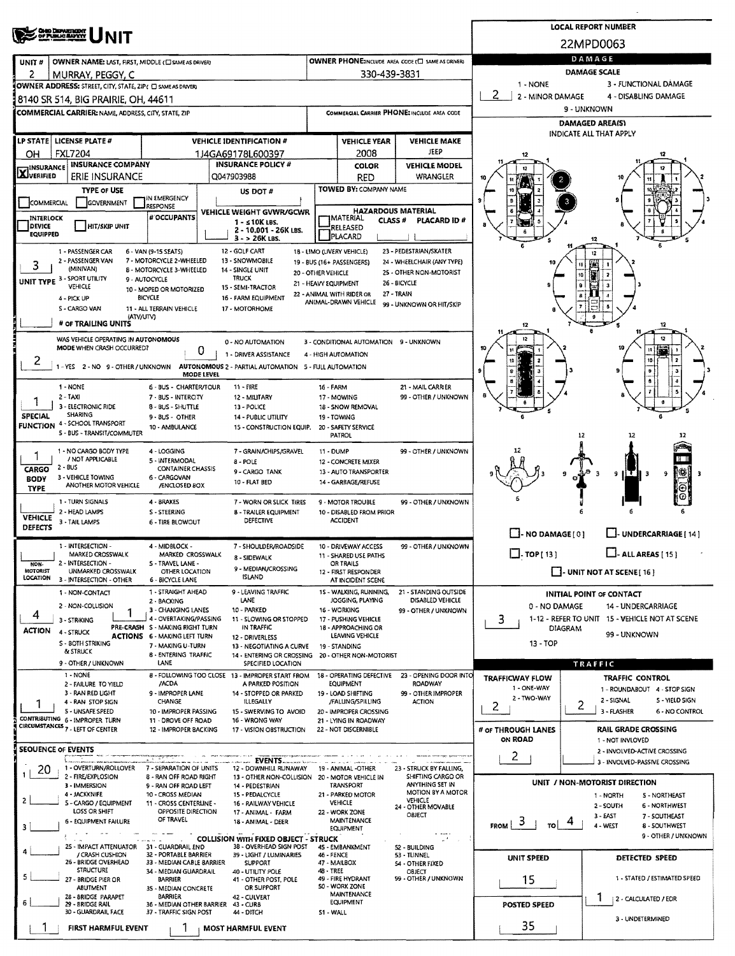|                                                                                                                                                                                           |                                                                                                                                                               |                                                               | <b>LOCAL REPORT NUMBER</b>      |                                                                         |                                            |                                                                 |                                              |                                                                                            |                                                                        |  |  |  |  |  |  |
|-------------------------------------------------------------------------------------------------------------------------------------------------------------------------------------------|---------------------------------------------------------------------------------------------------------------------------------------------------------------|---------------------------------------------------------------|---------------------------------|-------------------------------------------------------------------------|--------------------------------------------|-----------------------------------------------------------------|----------------------------------------------|--------------------------------------------------------------------------------------------|------------------------------------------------------------------------|--|--|--|--|--|--|
|                                                                                                                                                                                           | <b>CHIO DEPARTMENT</b><br>OF PUBLIC BAPKY                                                                                                                     |                                                               | 22MPD0063                       |                                                                         |                                            |                                                                 |                                              |                                                                                            |                                                                        |  |  |  |  |  |  |
| UNIT#                                                                                                                                                                                     | OWNER NAME: LAST, FIRST, MIDDLE (C) SAME AS DRIVERY                                                                                                           |                                                               |                                 | OWNER PHONE:INCLUDE AREA CODE (E) SAME AS DRIVERY                       | DAMAGE                                     |                                                                 |                                              |                                                                                            |                                                                        |  |  |  |  |  |  |
| 2                                                                                                                                                                                         | MURRAY, PEGGY, C                                                                                                                                              |                                                               |                                 |                                                                         |                                            | 330-439-3831                                                    |                                              | DAMAGE SCALE                                                                               |                                                                        |  |  |  |  |  |  |
|                                                                                                                                                                                           | OWNER ADDRESS: STREET, CITY, STATE, ZIP ( C SAME AS DRIVER)                                                                                                   |                                                               |                                 |                                                                         |                                            |                                                                 |                                              | 3 - FUNCTIONAL DAMAGE<br>1 - NONE<br>2                                                     |                                                                        |  |  |  |  |  |  |
|                                                                                                                                                                                           | 8140 SR 514, BIG PRAIRIE, OH, 44611                                                                                                                           |                                                               |                                 |                                                                         |                                            |                                                                 |                                              | 2 - MINOR DAMAGE<br>4 - DISABLING DAMAGE<br>9 - UNKNOWN                                    |                                                                        |  |  |  |  |  |  |
|                                                                                                                                                                                           | COMMERCIAL CARRIER: NAME, ADDRESS, CITY, STATE, ZIP                                                                                                           |                                                               |                                 |                                                                         |                                            |                                                                 | COMMERCIAL CARRIER PHONE: INCLUDE AREA CODE  | DAMAGED AREA(S)                                                                            |                                                                        |  |  |  |  |  |  |
|                                                                                                                                                                                           | LP STATE LICENSE PLATE #                                                                                                                                      |                                                               | <b>VEHICLE IDENTIFICATION #</b> |                                                                         |                                            | <b>VEHICLE YEAR</b>                                             | <b>VEHICLE MAKE</b>                          |                                                                                            | INDICATE ALL THAT APPLY                                                |  |  |  |  |  |  |
| OН                                                                                                                                                                                        | <b>FXL7204</b>                                                                                                                                                |                                                               | 1J4GA69178L600397               |                                                                         |                                            | 2008                                                            | <b>JEEP</b>                                  |                                                                                            |                                                                        |  |  |  |  |  |  |
| <b>INSURANCE</b><br><b>X</b> VERIFIED                                                                                                                                                     | <b>INSURANCE COMPÁNY</b>                                                                                                                                      |                                                               |                                 | <b>INSURANCE POLICY #</b>                                               |                                            | <b>COLOR</b>                                                    | <b>VEHICLE MODEL</b>                         |                                                                                            |                                                                        |  |  |  |  |  |  |
|                                                                                                                                                                                           | ERIE INSURANCE<br><b>TYPE OF USE</b>                                                                                                                          |                                                               | Q047903988                      | US DOT #                                                                |                                            | <b>RED</b><br>TOWED BY: COMPANY NAME                            | WRANGLER                                     |                                                                                            | 10                                                                     |  |  |  |  |  |  |
| COMMERCIAL                                                                                                                                                                                | GOVERNMENT                                                                                                                                                    | IN EMERGENCY<br>RESPONSE                                      |                                 |                                                                         |                                            |                                                                 |                                              |                                                                                            |                                                                        |  |  |  |  |  |  |
| INTERLOCK                                                                                                                                                                                 |                                                                                                                                                               | # OCCUPANTS                                                   |                                 | VEHICLE WEIGHT GVWR/GCWR<br>1 - s 10K LBS.                              |                                            | <b>HAZARDOUS MATERIAL</b><br><b>IMATERIAL</b><br><b>CLASS #</b> | PLACARD ID#                                  |                                                                                            |                                                                        |  |  |  |  |  |  |
| <b>DEVICE</b><br><b>EQUIPPED</b>                                                                                                                                                          | <b>HIT/SKIP UNIT</b>                                                                                                                                          |                                                               |                                 | 2 - 10.001 - 26K LBS.<br>$3 - 26K$ LBS.                                 |                                            | RELEASED<br>PLACARD                                             |                                              |                                                                                            | 12                                                                     |  |  |  |  |  |  |
|                                                                                                                                                                                           | 1 - PASSENGER CAR                                                                                                                                             | 6 - VAN (9-15 SEATS)                                          | 12 - GOLF CART                  |                                                                         |                                            | 18 - LIMO (LIVERY VEHICLE)                                      | 23 - PEDESTRIAN/SKATER                       |                                                                                            | 12                                                                     |  |  |  |  |  |  |
| 3                                                                                                                                                                                         | 2 - PASSENGER VAN<br>(MINIVAN)                                                                                                                                | 7 - MOTORCYCLE 2-WHEELED<br><b>B - MOTORCYCLE 3-WHEELED</b>   |                                 | 13 - SNOWMOBILE<br>14 - SINGLE UNIT                                     |                                            | 19 - BUS (16+ PASSENGERS)                                       | 24 - WHEELCHAIR (ANY TYPE)                   |                                                                                            |                                                                        |  |  |  |  |  |  |
|                                                                                                                                                                                           | UNIT TYPE 3 - SPORT UTILITY<br>VEHICLE                                                                                                                        | 9 - AUTOCYCLE                                                 | <b>TRUCK</b>                    | 15 - SEMI-TRACTOR                                                       | 20 - OTHER VEHICLE<br>21 - HEAVY EQUIPMENT |                                                                 | 25 - OTHER NON-MOTORIST<br>26 - BICYCLE      |                                                                                            |                                                                        |  |  |  |  |  |  |
|                                                                                                                                                                                           | 4 - PICK UP                                                                                                                                                   | 10 - MOPED OR MOTORIZED<br>BICYCLE                            |                                 | 16 - FARM EQUIPMENT                                                     |                                            | 22 - ANIMAL WITH RIDER OR<br>ANIMAL-DRAWN VEHICLE               | 27 - TRAIN                                   |                                                                                            |                                                                        |  |  |  |  |  |  |
|                                                                                                                                                                                           | S - CARGO VAN<br>(ATV/UTV)                                                                                                                                    | 11 - ALL TERRAIN VEHICLE                                      |                                 | 17 - MOTORHOME                                                          |                                            |                                                                 | 99 - UNKNOWN OR HIT/SKIP                     |                                                                                            |                                                                        |  |  |  |  |  |  |
|                                                                                                                                                                                           | # OF TRAILING UNITS                                                                                                                                           |                                                               |                                 |                                                                         |                                            |                                                                 |                                              |                                                                                            |                                                                        |  |  |  |  |  |  |
|                                                                                                                                                                                           | WAS VEHICLE OPERATING IN AUTONOMOUS<br>MODE WHEN CRASH OCCURRED?                                                                                              |                                                               | 0                               | 0 - NO AUTOMATION                                                       |                                            | 3 - CONDITIONAL AUTOMATION 9 - UNKNOWN                          |                                              |                                                                                            |                                                                        |  |  |  |  |  |  |
| z                                                                                                                                                                                         | 1 - YES 2 - NO 9 - OTHER / UNKNOWN AUTONOMOUS 2 - PARTIAL AUTOMATION 5 - FULL AUTOMATION                                                                      |                                                               |                                 | 1 - DRIVER ASSISTANCE                                                   |                                            | 4 - HIGH AUTOMATION                                             |                                              |                                                                                            |                                                                        |  |  |  |  |  |  |
|                                                                                                                                                                                           |                                                                                                                                                               |                                                               | MODE LEVEL                      |                                                                         |                                            |                                                                 |                                              |                                                                                            |                                                                        |  |  |  |  |  |  |
|                                                                                                                                                                                           | 1 - NONE<br>$2 - 1AXI$                                                                                                                                        | 6 - BUS - CHARTER/TOUR<br>7 - BUS - INTERCITY                 |                                 | 11 - FIRE<br>12 - MILITARY                                              | 16 - FARM                                  | 17 - MOWING                                                     | 21 - MAIL CARRIER<br>99 - OTHER / UNKNOWN    |                                                                                            |                                                                        |  |  |  |  |  |  |
|                                                                                                                                                                                           | 3 - ELECTRONIC RIDE                                                                                                                                           | 8 - BUS - SHUTTLE                                             |                                 | 13 - POLICE                                                             |                                            | 18 - SNOW REMOVAL                                               |                                              |                                                                                            |                                                                        |  |  |  |  |  |  |
| <b>SPECIAL</b><br><b>FUNCTION</b>                                                                                                                                                         | SHARING<br>9 - BUS - OTHER<br>14 - PUBLIC UTILITY<br>19 - TOWING<br>4 - SCHOOL TRANSPORT<br>10 - AMBULANCE<br>15 - CONSTRUCTION EQUIP.<br>20 - SAFETY SERVICE |                                                               |                                 |                                                                         |                                            |                                                                 |                                              |                                                                                            |                                                                        |  |  |  |  |  |  |
|                                                                                                                                                                                           | 5 - BUS - TRANSIT/COMMUTER                                                                                                                                    |                                                               |                                 |                                                                         |                                            | PATROL                                                          |                                              |                                                                                            | 12<br>12<br>12                                                         |  |  |  |  |  |  |
| ٦                                                                                                                                                                                         | 1 - NO CARGO BODY TYPE<br>4 - LOGGING<br>7 - GRAIN/CHIPS/GRAVEL<br>/ NOT APPLICABLE                                                                           |                                                               |                                 |                                                                         |                                            |                                                                 | 99 - OTHER / UNKNOWN                         |                                                                                            | H                                                                      |  |  |  |  |  |  |
| <b>CARGO</b>                                                                                                                                                                              | 5 - INTERMODAL<br>8 - POLE<br>$2 - BUS$<br><b>CONTAINER CHASSIS</b><br>9 - CARGO TANK<br>6 - CARGOVAN                                                         |                                                               |                                 |                                                                         |                                            | 12 - CONCRETE MIXER<br>13 - AUTO TRANSPORTER                    |                                              | 鑴<br>9H<br>9<br>- 3                                                                        |                                                                        |  |  |  |  |  |  |
| <b>BODY</b><br><b>TYPE</b>                                                                                                                                                                | 3 - VEHICLE TOWING<br>ANOTHER MOTOR VEHICLE                                                                                                                   | /ENCLOSED BOX                                                 | 10 - FLAT BED                   |                                                                         | 14 - GARBAGE/REFUSE                        |                                                                 |                                              | Θ                                                                                          |                                                                        |  |  |  |  |  |  |
|                                                                                                                                                                                           | 1 - TURN SIGNALS                                                                                                                                              |                                                               | 7 - WORN OR SLICK TIRES         |                                                                         | 9 - MOTOR TROUBLE                          | 99 - OTHER / UNKNOWN                                            |                                              |                                                                                            |                                                                        |  |  |  |  |  |  |
| 2 - HEAD LAMPS<br>S - STEERING<br><b>B - TRAILER EQUIPMENT</b><br>10 - DISABLED FROM PRIOR<br><b>VEHICLE</b><br>DEFECTIVE<br><b>ACCIDENT</b><br>3 - TAIL LAMPS<br><b>6 - TIRE BLOWOUT</b> |                                                                                                                                                               |                                                               |                                 |                                                                         |                                            |                                                                 |                                              |                                                                                            |                                                                        |  |  |  |  |  |  |
| <b>DEFECTS</b>                                                                                                                                                                            |                                                                                                                                                               |                                                               |                                 |                                                                         |                                            |                                                                 |                                              | $\Box$ - NO DAMAGE $[0]$                                                                   | U-UNDERCARRIAGE [ 14 ]                                                 |  |  |  |  |  |  |
|                                                                                                                                                                                           | 1 - INTERSECTION -<br>4 - MIDBLOCK -<br>7 - SHOULDER/ROADSIDE<br>MARKED CROSSWALK<br>MARKED CROSSWALK                                                         |                                                               |                                 |                                                                         |                                            | 10 - DRIVEWAY ACCESS<br>11 - SHARED USE PATHS                   | 99 - OTHER / UNKNOWN                         | $\Box$ TOP [ 13 ]                                                                          | $\Box$ - ALL AREAS [ 15 ]                                              |  |  |  |  |  |  |
| NON-<br><b>MOTORIST</b>                                                                                                                                                                   | 2 - INTERSECTION -<br>UNMARKED CROSSWALK                                                                                                                      | 5 - TRAVEL LANE -<br>OTHER LOCATION                           |                                 | 8 - SIDEWALK<br>9 - MEDIAN/CROSSING                                     |                                            | OR TRAILS<br>12 - FIRST RESPONDER                               |                                              | $\Box$ - UNIT NOT AT SCENE [ 16 ]                                                          |                                                                        |  |  |  |  |  |  |
| LOCATION                                                                                                                                                                                  | 3 - INTERSECTION - OTHER                                                                                                                                      | <b>6 - BICYCLE LANE</b>                                       |                                 | <b>ISLAND</b>                                                           |                                            | AT INCIDENT SCENE                                               |                                              |                                                                                            |                                                                        |  |  |  |  |  |  |
|                                                                                                                                                                                           | 1 - NON-CONTACT                                                                                                                                               | 1 - STRAIGHT AHEAD<br>2 - BACKING                             |                                 | 9 - LEAVING TRAFFIC<br>LANE                                             |                                            | 15 - WALKING, RUNNING,<br>JOGGING, PLAYING                      | 21 - STANDING OUTSIDE<br>DISABLED VEHICLE    | INITIAL POINT OF CONTACT                                                                   |                                                                        |  |  |  |  |  |  |
| 4                                                                                                                                                                                         | 2 - NON-COLLISION<br>3 - STRIKING                                                                                                                             | 3 - CHANGING LANES<br>4 - OVERTAKING/PASSING                  |                                 | 10 - PARKED<br>11 - SLOWING OR STOPPED                                  |                                            | 16 - WORKING<br>17 - PUSHING VEHICLE                            | 99 - OTHER / UNKNOWN                         | 0 - NO DAMAGE<br>14 - UNDERCARRIAGE<br>1-12 - REFER TO UNIT 15 - VEHICLE NOT AT SCENE<br>3 |                                                                        |  |  |  |  |  |  |
| <b>ACTION</b>                                                                                                                                                                             | 4 - STRUCK<br><b>ACTIONS</b>                                                                                                                                  | PRE-CRASH S - MAKING RIGHT TURN<br>6 - MAKING LEFT TURN       |                                 | IN TRAFFIC                                                              |                                            | 18 - APPROACHING OR<br>LEAVING VEHICLE                          |                                              | <b>DIAGRAM</b><br>99 - UNKNOWN                                                             |                                                                        |  |  |  |  |  |  |
|                                                                                                                                                                                           | S - BOTH STRIKING<br>& STRUCK                                                                                                                                 | 7 - MAKING U-TURN                                             |                                 | 12 - DRIVERLESS<br>13 - NEGOTIATING A CURVE                             |                                            | 19 - STANDING                                                   |                                              | 13 - TOP                                                                                   |                                                                        |  |  |  |  |  |  |
|                                                                                                                                                                                           | 9 - OTHER / UNKNOWN                                                                                                                                           | 8 - ENTERING TRAFFIC<br>LANE                                  |                                 | 14 - ENTERING OR CROSSING 20 - OTHER NON-MOTORIST<br>SPECIFIED LOCATION |                                            |                                                                 |                                              | <b>TRAFFIC</b>                                                                             |                                                                        |  |  |  |  |  |  |
|                                                                                                                                                                                           | 1 - NONE<br>2 - FAILURE TO YIELD                                                                                                                              | /ACDA                                                         |                                 | 8 - FOLLOWING TOO CLOSE 13 - IMPROPER START FROM<br>A PARKED POSITION   |                                            | 18 - OPERATING DEFECTIVE<br>EQUIPMENT                           | 23 - OPENING DOOR INTO<br>ROADWAY            | <b>TRAFFICWAY FLOW</b>                                                                     | <b>TRAFFIC CONTROL</b>                                                 |  |  |  |  |  |  |
|                                                                                                                                                                                           | 3 - RAN RED UGHT                                                                                                                                              | 9 - IMPROPER LANE                                             |                                 | 14 - STOPPED OR PARKED                                                  |                                            | 19 - LOAD SHIFTING                                              | 99 - OTHER IMPROPER                          | 1 - ONE-WAY<br>2 - TWO-WAY                                                                 | 1 - ROUNDABOUT 4 - STOP SIGN<br>2 - SIGNAL<br>5 - YIELD SIGN           |  |  |  |  |  |  |
|                                                                                                                                                                                           | 4 - RAN STOP SIGN<br>5 - UNSAFE SPEED                                                                                                                         | CHANGE<br>10 - IMPROPER PASSING                               |                                 | ILLEGALLY<br>15 - SWERVING TO AVOID                                     |                                            | /FALLING/SPILLING<br>20 - IMPROPER CROSSING                     | <b>ACTION</b>                                | 2                                                                                          | $\overline{z}$<br>3 - FLASHER<br>6 - NO CONTROL                        |  |  |  |  |  |  |
|                                                                                                                                                                                           | CONTRIBUTING 6 - IMPROPER TURN<br>CIRCUMSTANCES 7 - LEFT OF CENTER                                                                                            | 11 - DROVE OFF ROAD<br>12 - IMPROPER BACKING                  |                                 | 16 - WRONG WAY<br>17 - VISION OBSTRUCTION                               |                                            | 21 - LYING IN ROADWAY<br>22 - NOT DISCERNIBLE                   |                                              | # OF THROUGH LANES                                                                         | <b>RAIL GRADE CROSSING</b>                                             |  |  |  |  |  |  |
|                                                                                                                                                                                           |                                                                                                                                                               |                                                               |                                 |                                                                         |                                            |                                                                 |                                              | ON ROAD                                                                                    | 1 - NOT INVLOVED                                                       |  |  |  |  |  |  |
| <b>SEOUENCE OF EVENTS</b>                                                                                                                                                                 |                                                                                                                                                               |                                                               |                                 | EVENTS.                                                                 |                                            |                                                                 |                                              | $\mathbf{2}$                                                                               | 2 - INVOLVED-ACTIVE CROSSING<br>3 - INVOLVED-PASSIVE CROSSING          |  |  |  |  |  |  |
| 20                                                                                                                                                                                        | 1 - OVERTURN/ROLLOVER<br>2 - FIRE/EXPLOSION                                                                                                                   | 7 - SEPARATION OF UNITS<br>8 - RAN OFF ROAD RIGHT             |                                 | 12 - DOWNHILL RUNAWAY<br>13 - OTHER NON-COLLISION 20 - MOTOR VEHICLE IN |                                            | 19 - ANIMAL -OTHER                                              | 23 - STRUCK BY FALLING,<br>SHIFTING CARGO OR |                                                                                            |                                                                        |  |  |  |  |  |  |
|                                                                                                                                                                                           | 3 - IMMERSION<br>4 - JACKKNIFE                                                                                                                                | 9 - RAN OFF ROAD LEFT<br>10 - CROSS MEDIAN                    |                                 | 14 - PEDESTRIAN                                                         |                                            | TRANSPORT                                                       | ANYTHING SET IN<br><b>MOTION BY A MOTOR</b>  |                                                                                            | UNIT / NON-MOTORIST DIRECTION                                          |  |  |  |  |  |  |
|                                                                                                                                                                                           | 5 - CARGO / EQUIPMENT                                                                                                                                         | 11 - CROSS CENTERLINE -                                       |                                 | 15 - PEDALCYCLE<br>16 - RAILWAY VEHICLE                                 |                                            | 21 - PARKED MOTOR<br>VEHICLE                                    | VEHICLE<br>24 - OTHER MOVABLE                |                                                                                            | 1 - NORTH<br><b>5 - NORTHEAST</b><br>2 - SOUTH<br><b>6 - NORTHWEST</b> |  |  |  |  |  |  |
|                                                                                                                                                                                           | LOSS OR SHIFT<br>6 - EQUIPMENT FAILURE                                                                                                                        | OPPOSITE DIRECTION<br>OF TRAVEL                               |                                 | 17 - ANIMAL - FARM<br>18 - ANIMAL - DEER                                |                                            | 22 - WORK ZONE<br>MAINTENANCE                                   | OBJECT                                       | $FROM$ 3<br>τoΙ                                                                            | 3 - EAST<br>7 - SOUTHEAST<br>-4                                        |  |  |  |  |  |  |
| 3                                                                                                                                                                                         |                                                                                                                                                               |                                                               |                                 | <b>COLLISION WITH FIXED OBJECT - STRUCK</b>                             |                                            | EQUIPMENT                                                       | .                                            |                                                                                            | 4 - WEST<br>8 - SOUTHWEST<br>9 - OTHER / UNKNOWN                       |  |  |  |  |  |  |
|                                                                                                                                                                                           | 25 - IMPACT ATTENUATOR<br>/ CRASH CUSHION                                                                                                                     | 31 - GUARDRAIL END<br>32 - PORTABLE BARRIER                   |                                 | 38 - OVERHEAD SIGN POST<br>39 - LIGHT / LUMINARIES                      | 46 - FENCE                                 | 45 - EMBANKMENT                                                 | 52 - BUILDING<br>53 - TUNNEL                 |                                                                                            |                                                                        |  |  |  |  |  |  |
|                                                                                                                                                                                           | 26 - BRIDGE OVERHEAD<br><b>STRUCTURE</b>                                                                                                                      | 33 - MEDIAN CABLE BARRIER<br>34 - MEDIAN GUARDRAIL            |                                 | <b>SUPPORT</b><br>40 - UTILITY POLE                                     | 48 - TREE                                  | 47 - MAILBOX                                                    | <b>S4 - OTHER FIXED</b><br>OBJECT            | UNIT SPEED                                                                                 | DETECTED SPEED                                                         |  |  |  |  |  |  |
| 5                                                                                                                                                                                         | 27 - BRIDGE PIER OR<br>ABUIMENT                                                                                                                               | <b>BARRIER</b>                                                |                                 | 41 - OTHER POST, POLE<br>OR SUPPORT                                     |                                            | 49 - FIRE HYDRANT<br>50 - WORK ZONE                             | 99 - OTHER / UNKNOWN                         | 15                                                                                         | 1 - STATED / ESTIMATED SPEED                                           |  |  |  |  |  |  |
|                                                                                                                                                                                           | 28 - BRIDGE PARAPET                                                                                                                                           | 35 - MEDIAN CONCRETE<br><b>BARRIER</b>                        |                                 | 42 - CULVERT                                                            |                                            | MAINTENANCE<br>EQUIPMENT                                        |                                              |                                                                                            | 2 - CALCULATED / EDR                                                   |  |  |  |  |  |  |
|                                                                                                                                                                                           | 29 - BRIDGE RAIL<br>30 - GUARDRAIL FACE                                                                                                                       | 36 - MEDIAN OTHER BARRIER 43 - CURB<br>37 - TRAFFIC SIGN POST |                                 | 44 - DITCH                                                              | S1 - WALL                                  |                                                                 |                                              | <b>POSTED SPEED</b>                                                                        | 3 - UNDETERMINED                                                       |  |  |  |  |  |  |
|                                                                                                                                                                                           | FIRST HARMFUL EVENT                                                                                                                                           |                                                               |                                 | MOST HARMFUL EVENT                                                      |                                            |                                                                 |                                              | 35                                                                                         |                                                                        |  |  |  |  |  |  |

i,